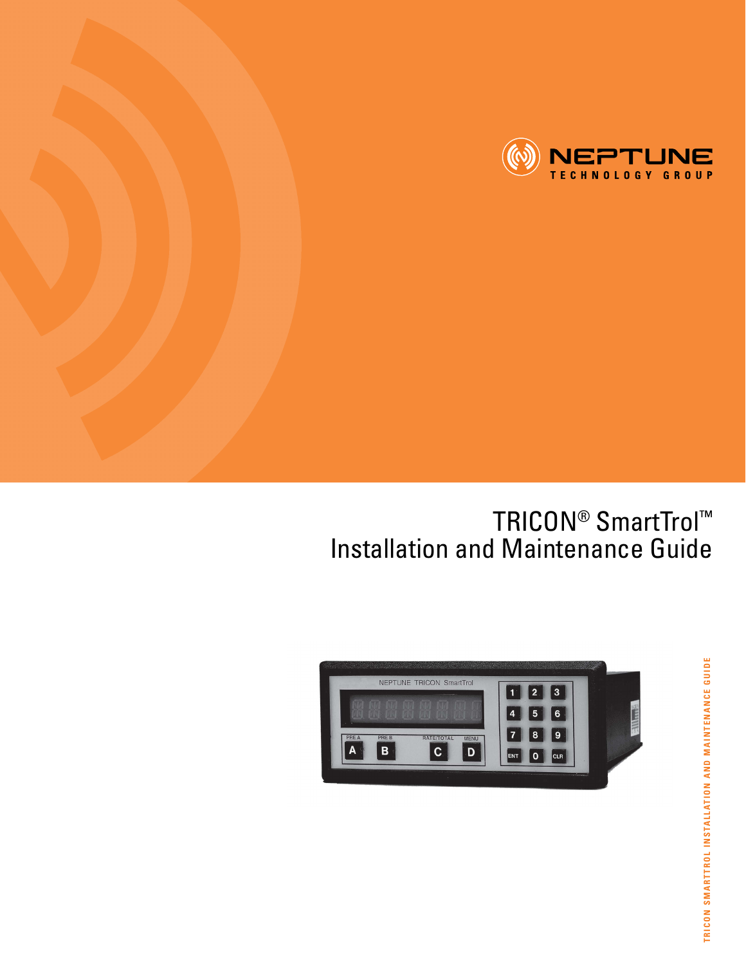

### TRICON<sup>®</sup> SmartTrol™ Installation and Maintenance Guide



TRICON SMARTTROL INSTALLATION AND MAINTENANCE GUIDE **TRICON SMARTTROL INSTALLATION AND MAINTENANCE GUIDE**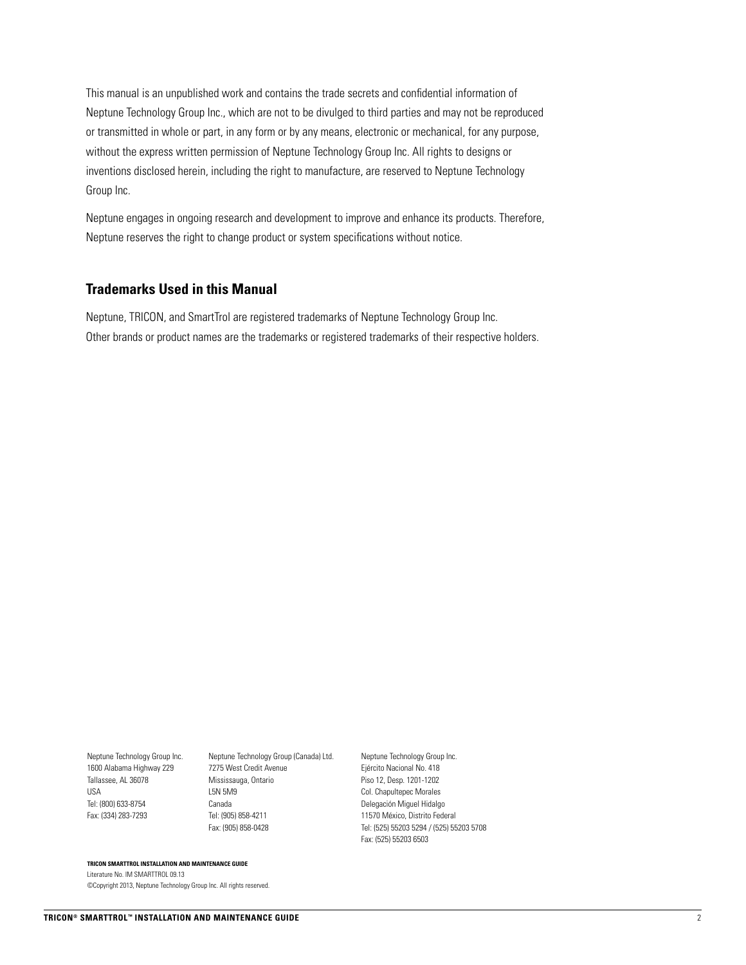This manual is an unpublished work and contains the trade secrets and confidential information of Neptune Technology Group Inc., which are not to be divulged to third parties and may not be reproduced or transmitted in whole or part, in any form or by any means, electronic or mechanical, for any purpose, without the express written permission of Neptune Technology Group Inc. All rights to designs or inventions disclosed herein, including the right to manufacture, are reserved to Neptune Technology Group Inc.

Neptune engages in ongoing research and development to improve and enhance its products. Therefore, Neptune reserves the right to change product or system specifications without notice.

#### **Trademarks Used in this Manual**

Neptune, TRICON, and SmartTrol are registered trademarks of Neptune Technology Group Inc. Other brands or product names are the trademarks or registered trademarks of their respective holders.

1600 Alabama Highway 229 Tallassee, AL 36078 USA Tel: (800) 633-8754 Fax: (334) 283-7293

Neptune Technology Group Inc. Neptune Technology Group (Canada) Ltd. 7275 West Credit Avenue Mississauga, Ontario L5N 5M9 Canada Tel: (905) 858-4211 Fax: (905) 858-0428

Neptune Technology Group Inc. Ejército Nacional No. 418 Piso 12, Desp. 1201-1202 Col. Chapultepec Morales Delegación Miguel Hidalgo 11570 México, Distrito Federal Tel: (525) 55203 5294 / (525) 55203 5708 Fax: (525) 55203 6503

#### **TRICON SMARTTROL INSTALLATION AND MAINTENANCE GUIDE**

Literature No. IM SMARTTROL 09.13 ©Copyright 2013, Neptune Technology Group Inc. All rights reserved.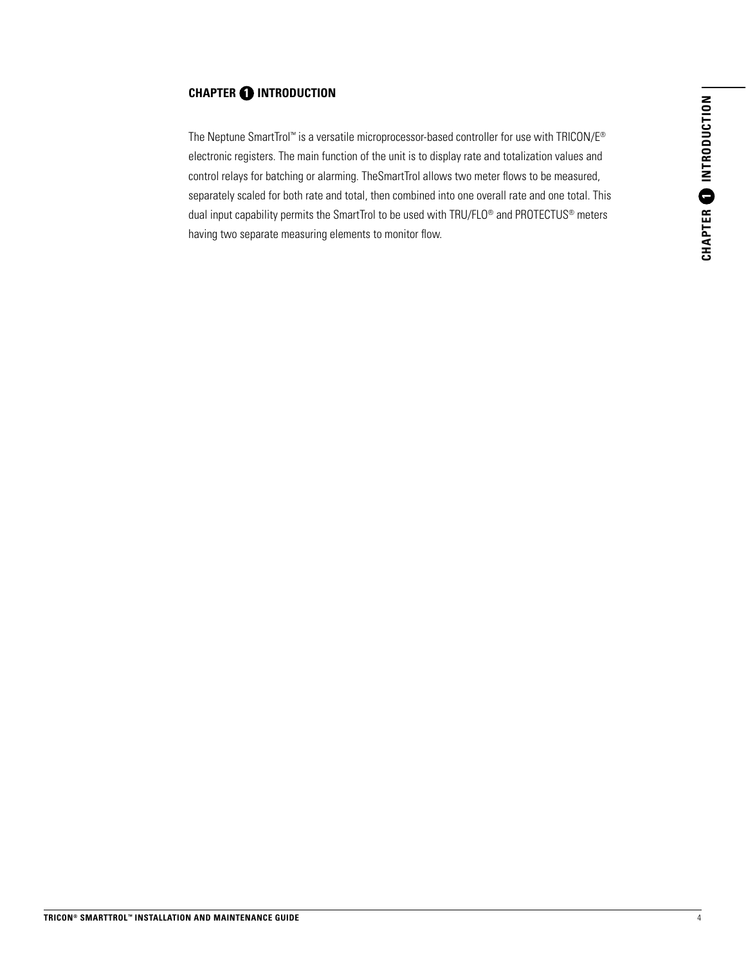#### **CHAPTER 1 INTRODUCTION**

The Neptune SmartTrol™ is a versatile microprocessor-based controller for use with TRICON/E® electronic registers. The main function of the unit is to display rate and totalization values and control relays for batching or alarming. TheSmartTrol allows two meter flows to be measured, separately scaled for both rate and total, then combined into one overall rate and one total. This dual input capability permits the SmartTrol to be used with TRU/FLO® and PROTECTUS® meters having two separate measuring elements to monitor flow.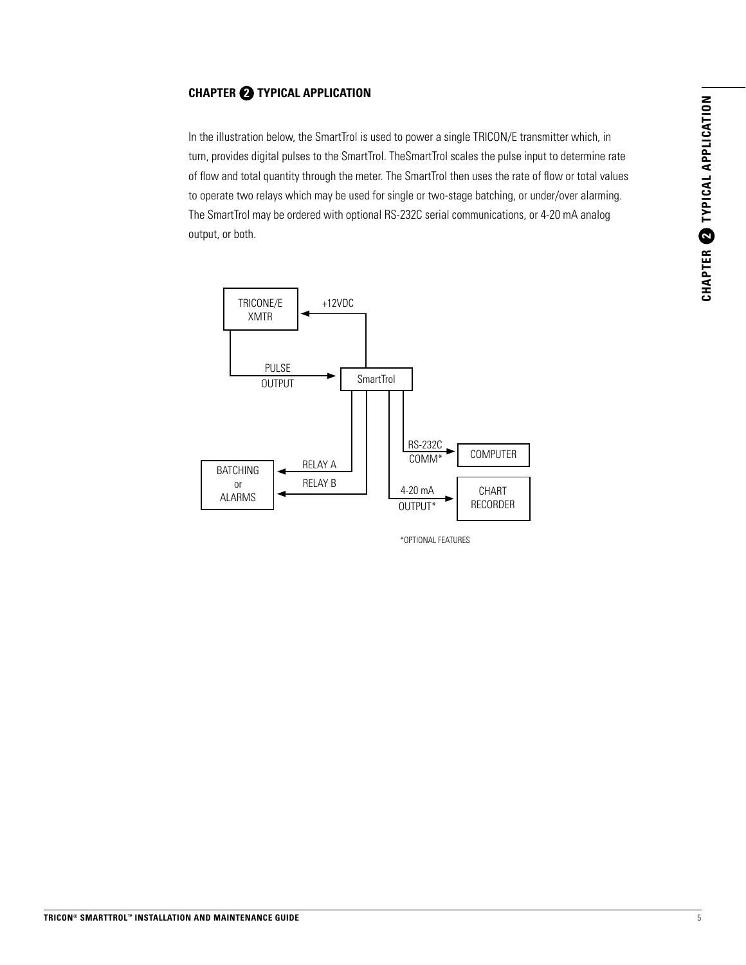# CHAPTER 2 TYPICAL APPLICATION **CHAPTER 2 TYPICAL APPLICATION**

#### **CHAPTER 2 TYPICAL APPLICATION**

In the illustration below, the SmartTrol is used to power a single TRICON/E transmitter which, in turn, provides digital pulses to the SmartTrol. TheSmartTrol scales the pulse input to determine rate of flow and total quantity through the meter. The SmartTrol then uses the rate of flow or total values to operate two relays which may be used for single or two-stage batching, or under/over alarming. The SmartTrol may be ordered with optional RS-232C serial communications, or 4-20 mA analog output, or both.



\*OPTIONAL FEATURES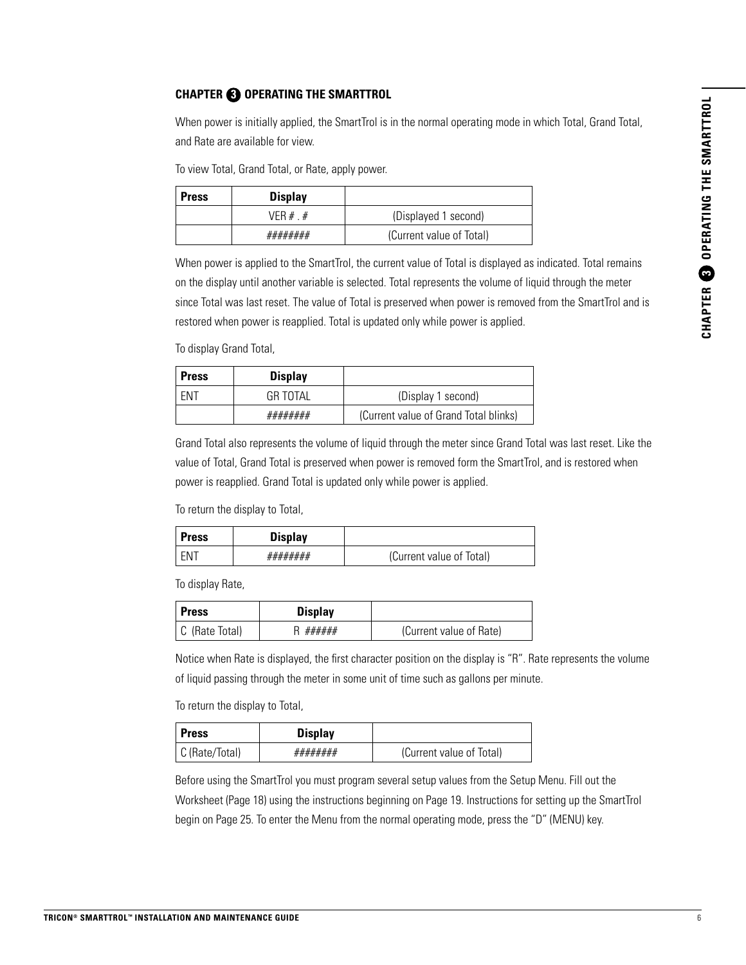#### **CHAPTER 3 OPERATING THE SMARTTROL**

When power is initially applied, the SmartTrol is in the normal operating mode in which Total, Grand Total, and Rate are available for view.

To view Total, Grand Total, or Rate, apply power.

| <b>Press</b> | <b>Display</b> |                          |
|--------------|----------------|--------------------------|
|              | VFR $#$ $#$    | (Displayed 1 second)     |
|              | ########       | (Current value of Total) |

When power is applied to the SmartTrol, the current value of Total is displayed as indicated. Total remains on the display until another variable is selected. Total represents the volume of liquid through the meter since Total was last reset. The value of Total is preserved when power is removed from the SmartTrol and is restored when power is reapplied. Total is updated only while power is applied.

To display Grand Total,

| <b>Press</b> | <b>Display</b>  |                                       |
|--------------|-----------------|---------------------------------------|
| <b>FNT</b>   | <b>GR TOTAL</b> | (Display 1 second)                    |
|              | ########        | (Current value of Grand Total blinks) |

Grand Total also represents the volume of liquid through the meter since Grand Total was last reset. Like the value of Total, Grand Total is preserved when power is removed form the SmartTrol, and is restored when power is reapplied. Grand Total is updated only while power is applied.

To return the display to Total,

| <b>Press</b> | <b>Display</b> |                          |
|--------------|----------------|--------------------------|
| FN.          | ########       | (Current value of Total) |

To display Rate,

| <b>Press</b>   | <b>Display</b> |                         |
|----------------|----------------|-------------------------|
| C (Rate Total) | ######         | (Current value of Rate) |

Notice when Rate is displayed, the first character position on the display is "R". Rate represents the volume of liquid passing through the meter in some unit of time such as gallons per minute.

To return the display to Total,

| <b>Press</b>   | <b>Display</b> |                          |
|----------------|----------------|--------------------------|
| C (Rate/Total) | ########       | (Current value of Total) |

Before using the SmartTrol you must program several setup values from the Setup Menu. Fill out the Worksheet (Page 18) using the instructions beginning on Page 19. Instructions for setting up the SmartTrol begin on Page 25. To enter the Menu from the normal operating mode, press the "D" (MENU) key.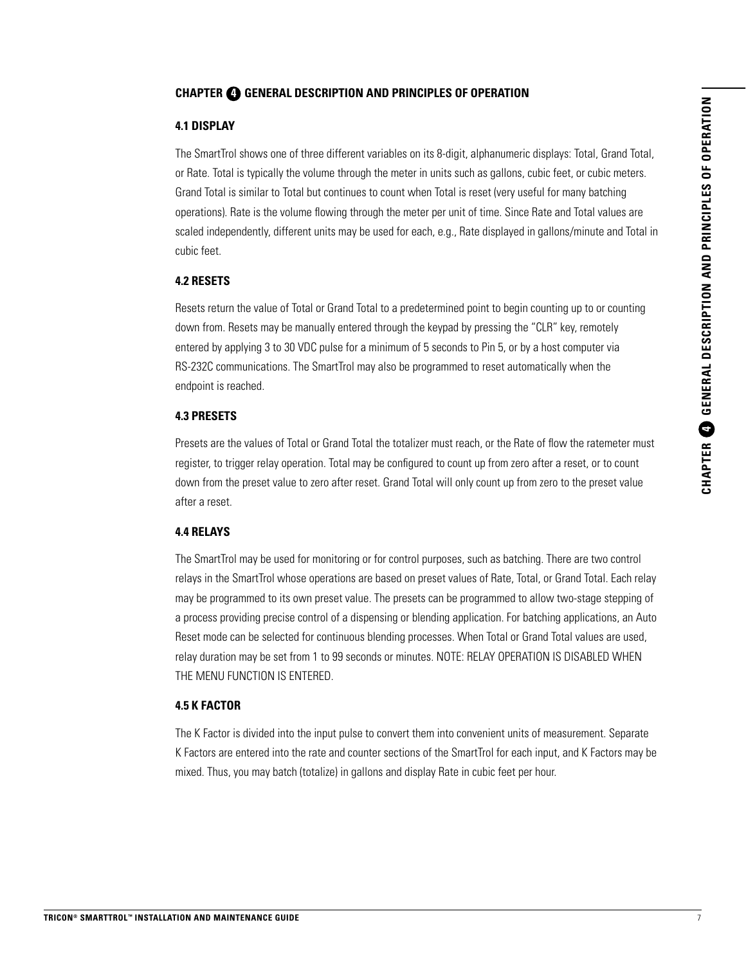#### **CHAPTER 4 GENERAL DESCRIPTION AND PRINCIPLES OF OPERATION**

#### **4.1 DISPLAY**

The SmartTrol shows one of three different variables on its 8-digit, alphanumeric displays: Total, Grand Total, or Rate. Total is typically the volume through the meter in units such as gallons, cubic feet, or cubic meters. Grand Total is similar to Total but continues to count when Total is reset (very useful for many batching operations). Rate is the volume flowing through the meter per unit of time. Since Rate and Total values are scaled independently, different units may be used for each, e.g., Rate displayed in gallons/minute and Total in cubic feet.

#### **4.2 RESETS**

Resets return the value of Total or Grand Total to a predetermined point to begin counting up to or counting down from. Resets may be manually entered through the keypad by pressing the "CLR" key, remotely entered by applying 3 to 30 VDC pulse for a minimum of 5 seconds to Pin 5, or by a host computer via RS-232C communications. The SmartTrol may also be programmed to reset automatically when the endpoint is reached.

#### **4.3 PRESETS**

Presets are the values of Total or Grand Total the totalizer must reach, or the Rate of flow the ratemeter must register, to trigger relay operation. Total may be configured to count up from zero after a reset, or to count down from the preset value to zero after reset. Grand Total will only count up from zero to the preset value after a reset.

#### **4.4 RELAYS**

The SmartTrol may be used for monitoring or for control purposes, such as batching. There are two control relays in the SmartTrol whose operations are based on preset values of Rate, Total, or Grand Total. Each relay may be programmed to its own preset value. The presets can be programmed to allow two-stage stepping of a process providing precise control of a dispensing or blending application. For batching applications, an Auto Reset mode can be selected for continuous blending processes. When Total or Grand Total values are used, relay duration may be set from 1 to 99 seconds or minutes. NOTE: RELAY OPERATION IS DISABLED WHEN THE MENU FUNCTION IS ENTERED.

#### **4.5 K FACTOR**

The K Factor is divided into the input pulse to convert them into convenient units of measurement. Separate K Factors are entered into the rate and counter sections of the SmartTrol for each input, and K Factors may be mixed. Thus, you may batch (totalize) in gallons and display Rate in cubic feet per hour.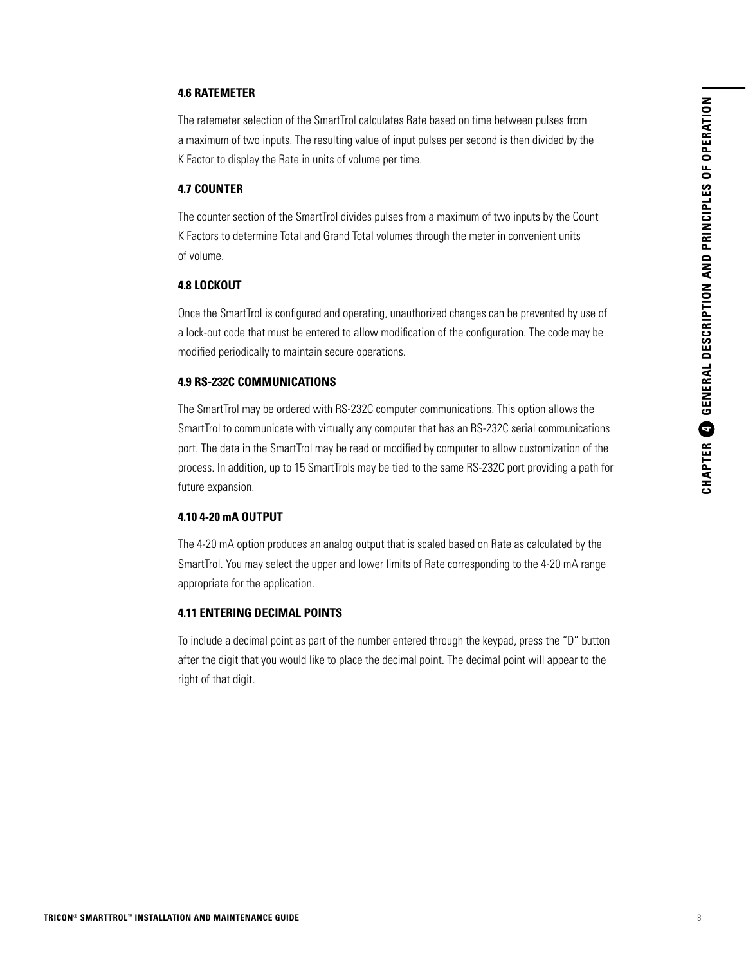#### **4.6 RATEMETER**

The ratemeter selection of the SmartTrol calculates Rate based on time between pulses from a maximum of two inputs. The resulting value of input pulses per second is then divided by the K Factor to display the Rate in units of volume per time.

#### **4.7 COUNTER**

The counter section of the SmartTrol divides pulses from a maximum of two inputs by the Count K Factors to determine Total and Grand Total volumes through the meter in convenient units of volume.

#### **4.8 LOCKOUT**

Once the SmartTrol is configured and operating, unauthorized changes can be prevented by use of a lock-out code that must be entered to allow modification of the configuration. The code may be modified periodically to maintain secure operations.

#### **4.9 RS-232C COMMUNICATIONS**

The SmartTrol may be ordered with RS-232C computer communications. This option allows the SmartTrol to communicate with virtually any computer that has an RS-232C serial communications port. The data in the SmartTrol may be read or modified by computer to allow customization of the process. In addition, up to 15 SmartTrols may be tied to the same RS-232C port providing a path for future expansion.

#### **4.10 4-20 mA OUTPUT**

The 4-20 mA option produces an analog output that is scaled based on Rate as calculated by the SmartTrol. You may select the upper and lower limits of Rate corresponding to the 4-20 mA range appropriate for the application.

#### **4.11 ENTERING DECIMAL POINTS**

To include a decimal point as part of the number entered through the keypad, press the "D" button after the digit that you would like to place the decimal point. The decimal point will appear to the right of that digit.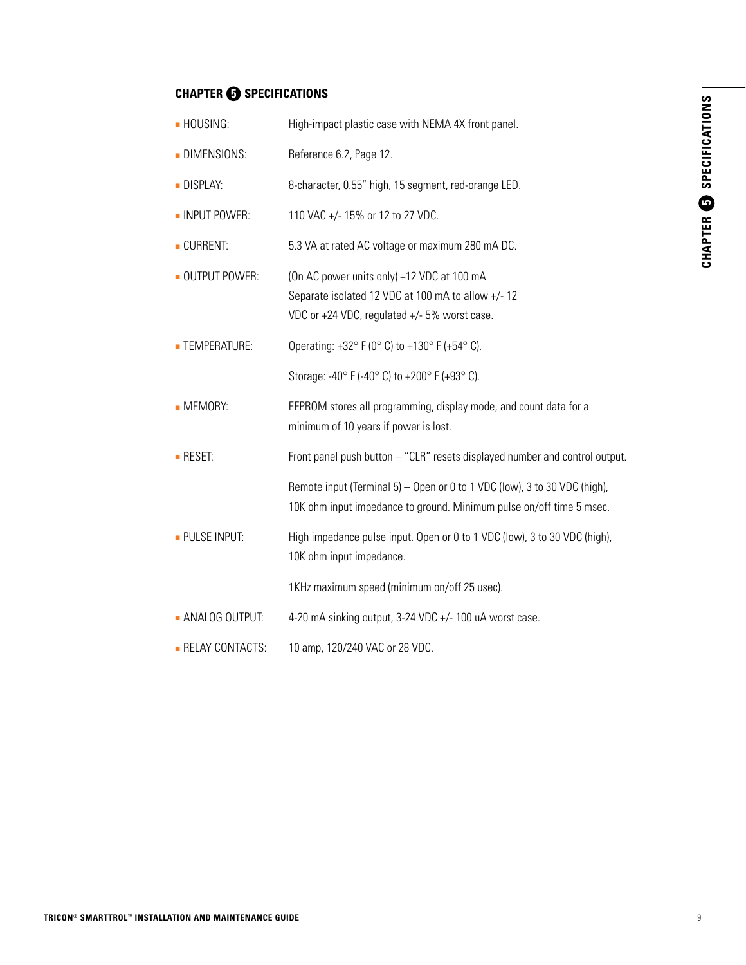#### **CHAPTER @ SPECIFICATIONS**

| - HOUSING:          | High-impact plastic case with NEMA 4X front panel.                                                                                                |
|---------------------|---------------------------------------------------------------------------------------------------------------------------------------------------|
| - DIMENSIONS:       | Reference 6.2, Page 12.                                                                                                                           |
| <b>DISPLAY:</b>     | 8-character, 0.55" high, 15 segment, red-orange LED.                                                                                              |
| - INPUT POWER:      | 110 VAC +/- 15% or 12 to 27 VDC.                                                                                                                  |
| CURRENT:            | 5.3 VA at rated AC voltage or maximum 280 mA DC.                                                                                                  |
| OUTPUT POWER:       | (On AC power units only) +12 VDC at 100 mA<br>Separate isolated 12 VDC at 100 mA to allow +/-12<br>VDC or +24 VDC, regulated +/- 5% worst case.   |
| <b>TEMPERATURE:</b> | Operating: $+32^{\circ}$ F (0° C) to $+130^{\circ}$ F ( $+54^{\circ}$ C).                                                                         |
|                     | Storage: -40° F (-40° C) to +200° F (+93° C).                                                                                                     |
| - MEMORY:           | EEPROM stores all programming, display mode, and count data for a<br>minimum of 10 years if power is lost.                                        |
| <b>- RESET:</b>     | Front panel push button - "CLR" resets displayed number and control output.                                                                       |
|                     | Remote input (Terminal 5) – Open or 0 to 1 VDC (low), 3 to 30 VDC (high),<br>10K ohm input impedance to ground. Minimum pulse on/off time 5 msec. |
| - PULSE INPUT:      | High impedance pulse input. Open or 0 to 1 VDC (low), 3 to 30 VDC (high),<br>10K ohm input impedance.                                             |
|                     | 1KHz maximum speed (minimum on/off 25 usec).                                                                                                      |
| - ANALOG OUTPUT:    | 4-20 mA sinking output, 3-24 VDC +/- 100 uA worst case.                                                                                           |
| - RELAY CONTACTS:   | 10 amp, 120/240 VAC or 28 VDC.                                                                                                                    |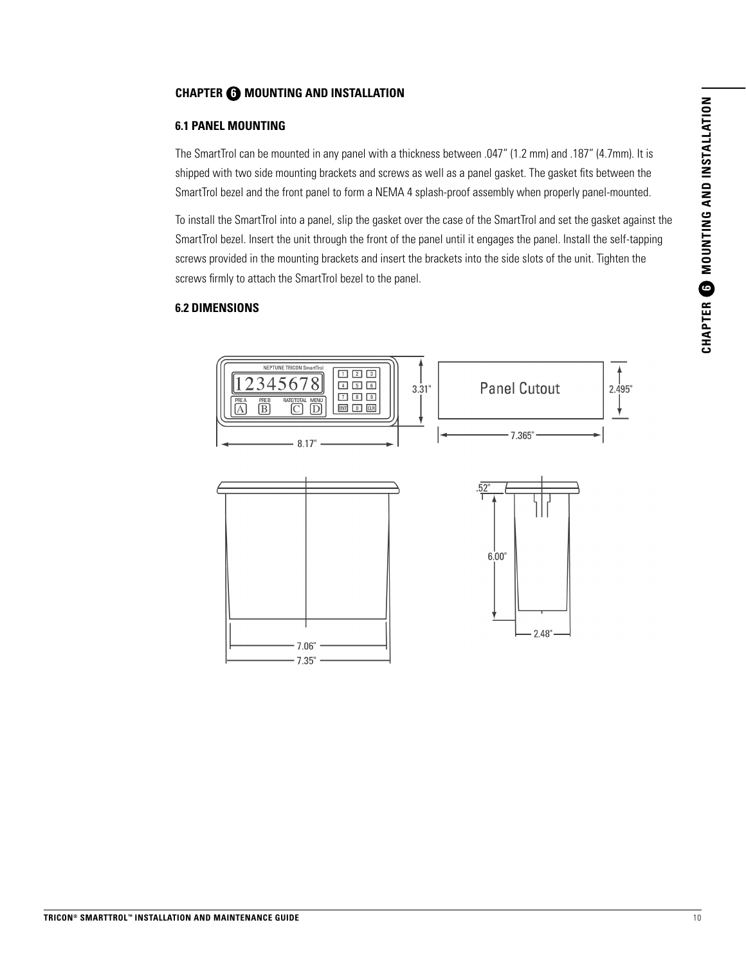#### **CHAPTER 6 MOUNTING AND INSTALLATION**

#### **6.1 PANEL MOUNTING**

The SmartTrol can be mounted in any panel with a thickness between .047" (1.2 mm) and .187" (4.7mm). It is shipped with two side mounting brackets and screws as well as a panel gasket. The gasket fits between the SmartTrol bezel and the front panel to form a NEMA 4 splash-proof assembly when properly panel-mounted.

To install the SmartTrol into a panel, slip the gasket over the case of the SmartTrol and set the gasket against the SmartTrol bezel. Insert the unit through the front of the panel until it engages the panel. Install the self-tapping screws provided in the mounting brackets and insert the brackets into the side slots of the unit. Tighten the screws firmly to attach the SmartTrol bezel to the panel.

#### **6.2 DIMENSIONS**

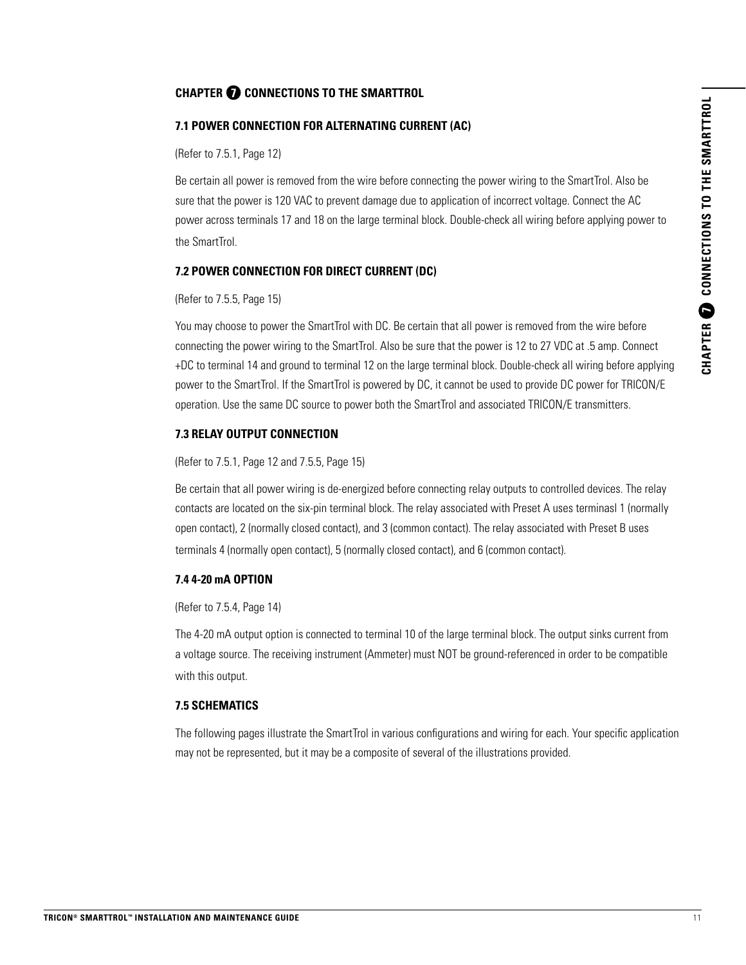#### **CHAPTER 7 CONNECTIONS TO THE SMARTTROL**

#### **7.1 POWER CONNECTION FOR ALTERNATING CURRENT (AC)**

(Refer to 7.5.1, Page 12)

Be certain all power is removed from the wire before connecting the power wiring to the SmartTrol. Also be sure that the power is 120 VAC to prevent damage due to application of incorrect voltage. Connect the AC power across terminals 17 and 18 on the large terminal block. Double-check all wiring before applying power to the SmartTrol.

#### **7.2 POWER CONNECTION FOR DIRECT CURRENT (DC)**

#### (Refer to 7.5.5, Page 15)

You may choose to power the SmartTrol with DC. Be certain that all power is removed from the wire before connecting the power wiring to the SmartTrol. Also be sure that the power is 12 to 27 VDC at .5 amp. Connect +DC to terminal 14 and ground to terminal 12 on the large terminal block. Double-check all wiring before applying power to the SmartTrol. If the SmartTrol is powered by DC, it cannot be used to provide DC power for TRICON/E operation. Use the same DC source to power both the SmartTrol and associated TRICON/E transmitters.

#### **7.3 RELAY OUTPUT CONNECTION**

(Refer to 7.5.1, Page 12 and 7.5.5, Page 15)

Be certain that all power wiring is de-energized before connecting relay outputs to controlled devices. The relay contacts are located on the six-pin terminal block. The relay associated with Preset A uses terminasl 1 (normally open contact), 2 (normally closed contact), and 3 (common contact). The relay associated with Preset B uses terminals 4 (normally open contact), 5 (normally closed contact), and 6 (common contact).

#### **7.4 4-20 mA OPTION**

#### (Refer to 7.5.4, Page 14)

The 4-20 mA output option is connected to terminal 10 of the large terminal block. The output sinks current from a voltage source. The receiving instrument (Ammeter) must NOT be ground-referenced in order to be compatible with this output.

#### **7.5 SCHEMATICS**

The following pages illustrate the SmartTrol in various configurations and wiring for each. Your specific application may not be represented, but it may be a composite of several of the illustrations provided.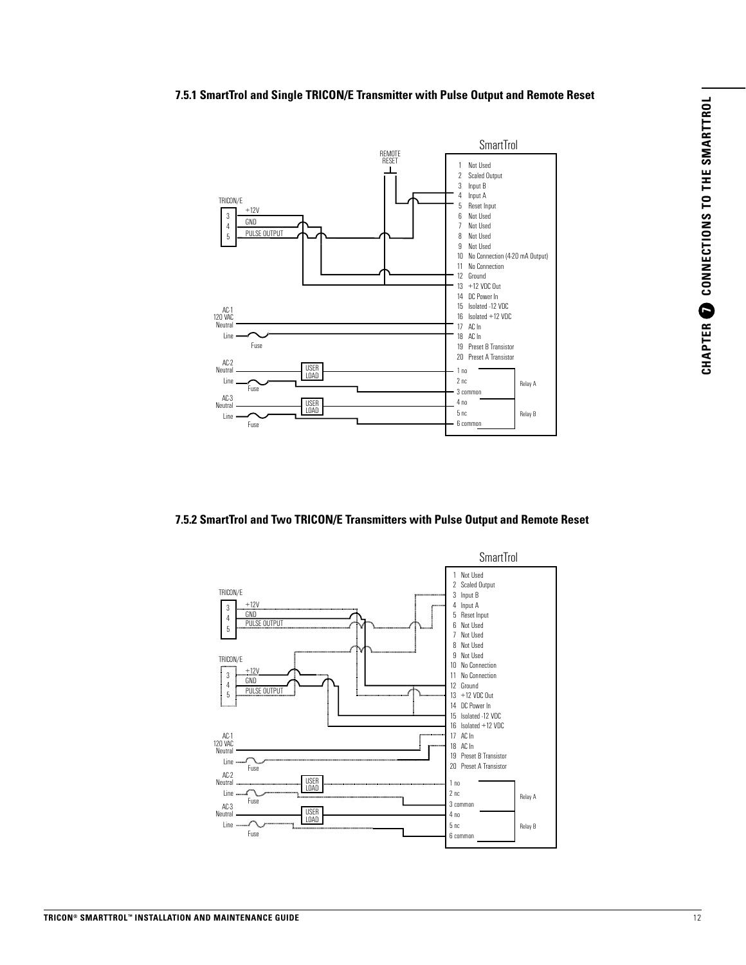#### **7.5.1 SmartTrol and Single TRICON/E Transmitter with Pulse Output and Remote Reset**



#### **7.5.2 SmartTrol and Two TRICON/E Transmitters with Pulse Output and Remote Reset**

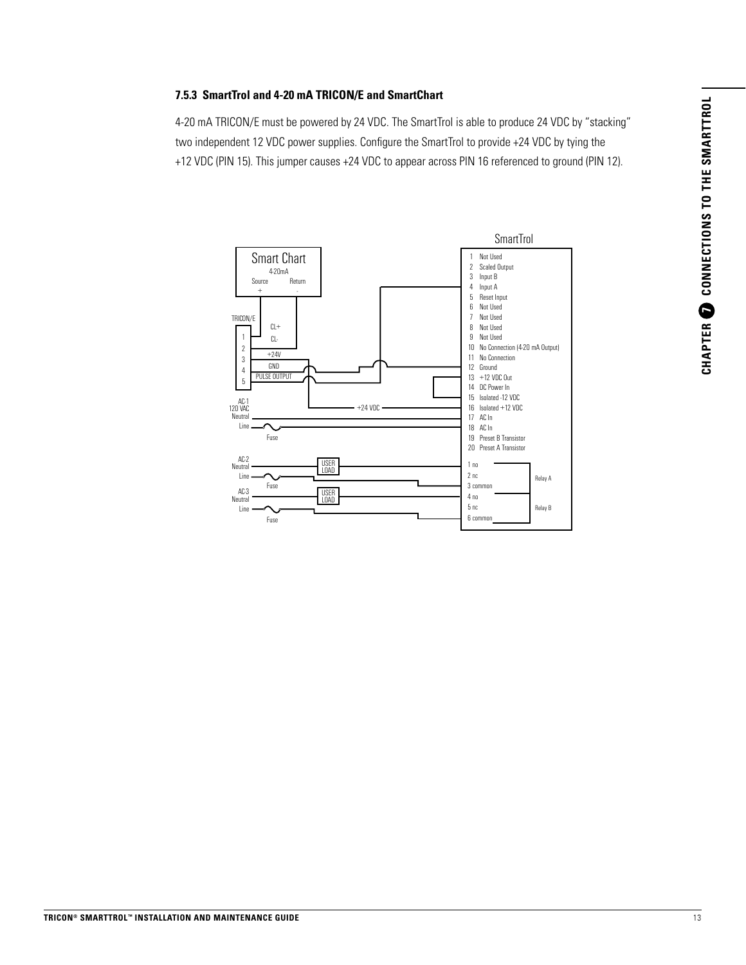# CHAPTER O CONNECTIONS TO THE SMARTTROL **CHAPTER 7 CONNECTIONS TO THE SMARTTROL**

### **7.5.3 SmartTrol and 4-20 mA TRICON/E and SmartChart** 7.5.3

4-20 mA TRICON/E must be powered by 24 VDC. The SmartTrol is able to produce 24 VDC by "stacking" two independent 12 VDC power supplies. Configure the SmartTrol to provide +24 VDC by tying the +12 VDC (PIN 15). This jumper causes +24 VDC to appear across PIN 16 referenced to ground (PIN 12).

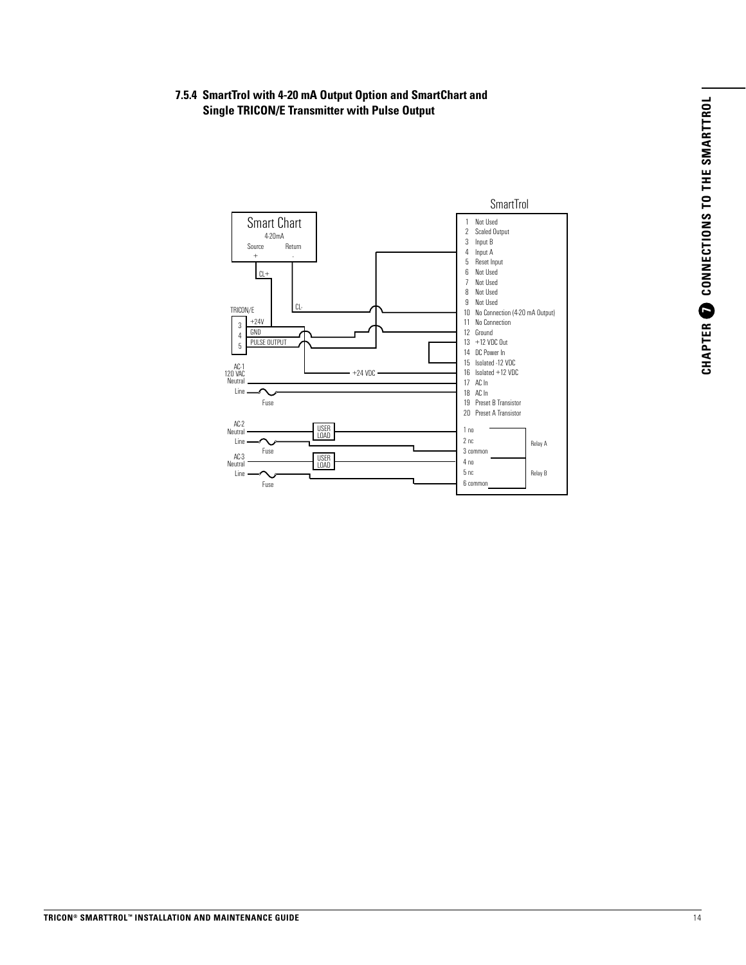#### **7.5.4 SmartTrol with 4-20 mA Output Option and SmartChart and Single TRICON/E Transmitter with Pulse Output**

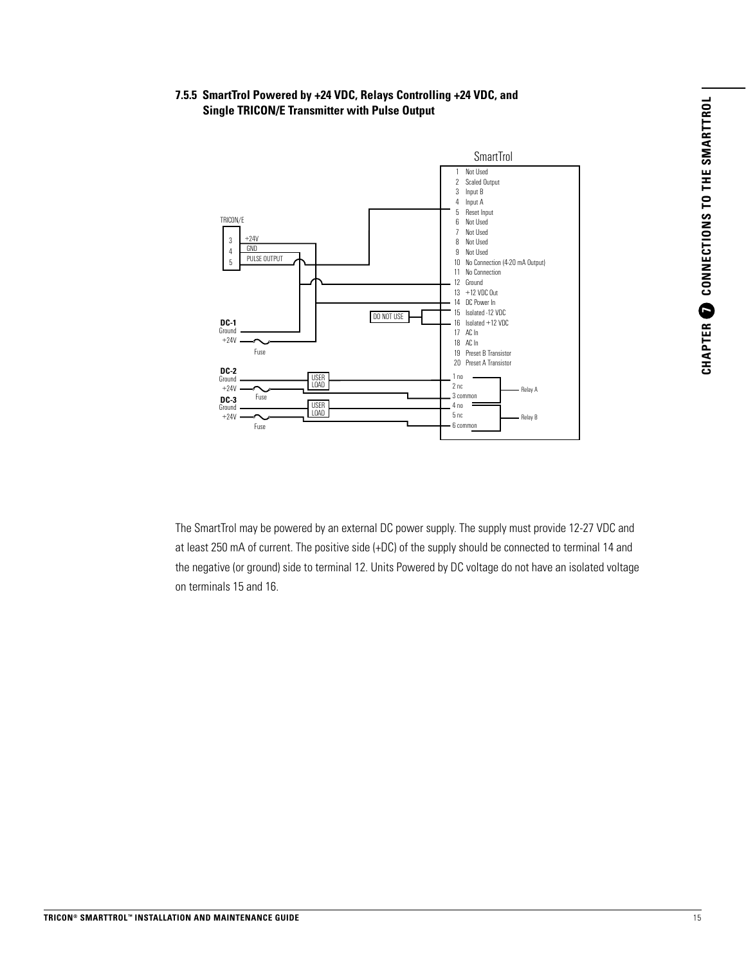#### **7.5.5 SmartTrol Powered by +24 VDC, Relays Controlling +24 VDC, and Single TRICON/E Transmitter with Pulse Output**



The SmartTrol may be powered by an external DC power supply. The supply must provide 12-27 VDC and at least 250 mA of current. The positive side (+DC) of the supply should be connected to terminal 14 and the negative (or ground) side to terminal 12. Units Powered by DC voltage do not have an isolated voltage on terminals 15 and 16.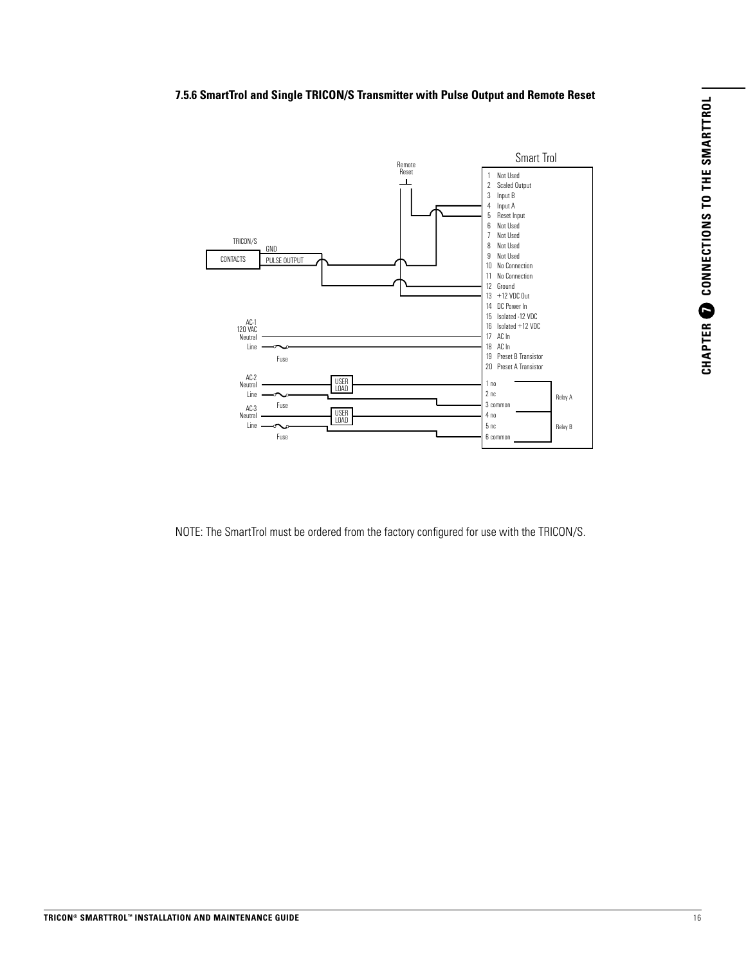#### **7.5.6 SmartTrol and Single TRICON/S Transmitter with Pulse Output and Remote Reset**



NOTE: The SmartTrol must be ordered from the factory configured for use with the TRICON/S.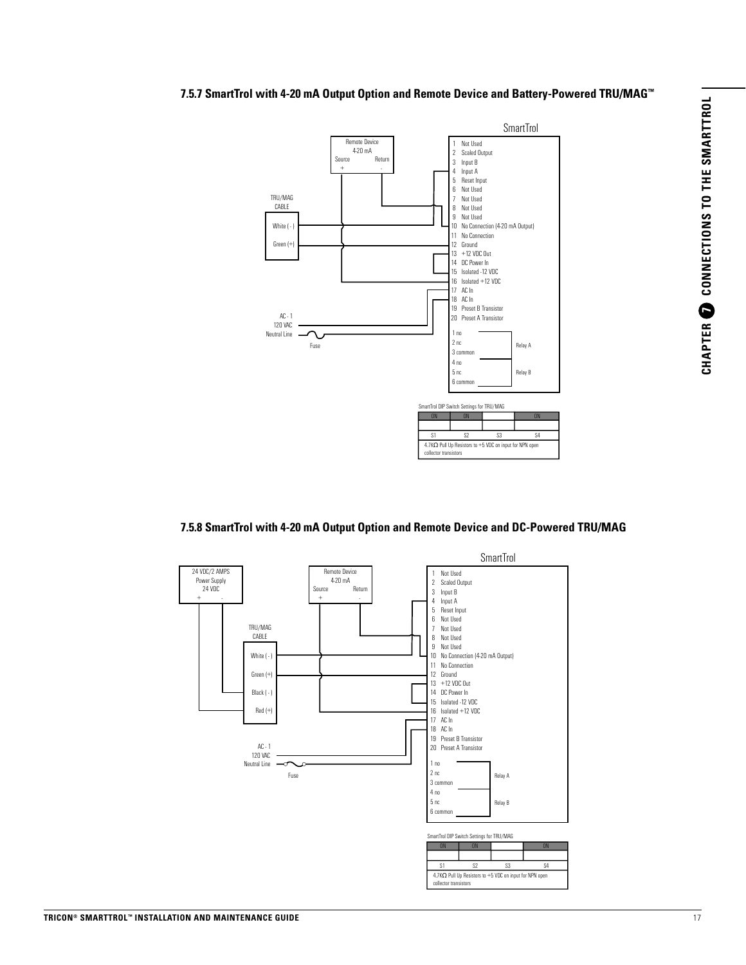#### 7.5.7 SmartTrol with 4-20 mA Output Option and Remote Device and Battery-Powered TRU/MAG™<br>



#### **7.5.8 SmartTrol with 4-20 mA Output Option and Remote Device and DC-Powered TRU/MAG** Smart Trol W/4-20mA Output Option and Remote Device and DC Powered TRU/MAG

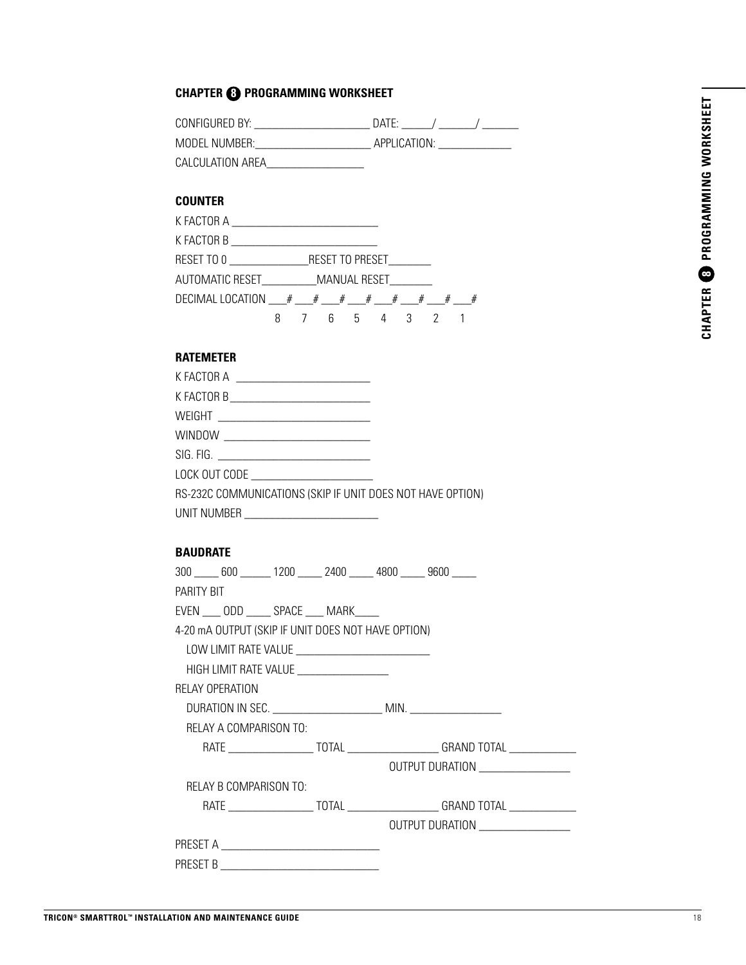# CHAPTER <sup>3</sup> PROGRAMMING WORKSHEET **CHAPTER 8 PROGRAMMING WORKSHEET**

#### **CHAPTER 8 PROGRAMMING WORKSHEET**

| CONFIGURED BY: I | $\overline{D}$ ATF <sup>.</sup> |
|------------------|---------------------------------|
| MODEL NUMBER: I  | APPLICATION:                    |
| CALCULATION AREA |                                 |

#### **COUNTER**

| AUTOMATIC RESET___________ MANUAL RESET________ |             |  |  |  |  |
|-------------------------------------------------|-------------|--|--|--|--|
|                                                 |             |  |  |  |  |
|                                                 | 8 7 6 5 4 3 |  |  |  |  |

#### **RATEMETER**

| K FACTOR A ______________________________                  |  |
|------------------------------------------------------------|--|
| K FACTOR B _______________________________                 |  |
|                                                            |  |
|                                                            |  |
|                                                            |  |
| LOCK OUT CODE __________________________                   |  |
| RS-232C COMMUNICATIONS (SKIP IF UNIT DOES NOT HAVE OPTION) |  |
|                                                            |  |

#### **BAUDRATE**

|            |                        |                                                    | 300 _____ 600 ______ 1200 _____ 2400 _____ 4800 _____ 9600 _____                       |
|------------|------------------------|----------------------------------------------------|----------------------------------------------------------------------------------------|
| PARITY BIT |                        |                                                    |                                                                                        |
|            |                        | EVEN ____ ODD _____ SPACE ____ MARK_____           |                                                                                        |
|            |                        | 4-20 mA OUTPUT (SKIP IF UNIT DOES NOT HAVE OPTION) |                                                                                        |
|            |                        |                                                    |                                                                                        |
|            |                        | HIGH LIMIT RATE VALUE ___________________          |                                                                                        |
|            | RELAY OPERATION        |                                                    |                                                                                        |
|            |                        |                                                    |                                                                                        |
|            | RELAY A COMPARISON TO: |                                                    |                                                                                        |
|            |                        |                                                    |                                                                                        |
|            |                        |                                                    | OUTPUT DURATION ___________________                                                    |
|            | RELAY B COMPARISON TO: |                                                    |                                                                                        |
|            |                        |                                                    | RATE _________________________TOTAL _______________________GRAND TOTAL _______________ |
|            |                        |                                                    | OUTPUT DURATION ___________________                                                    |
|            |                        |                                                    |                                                                                        |
|            |                        |                                                    |                                                                                        |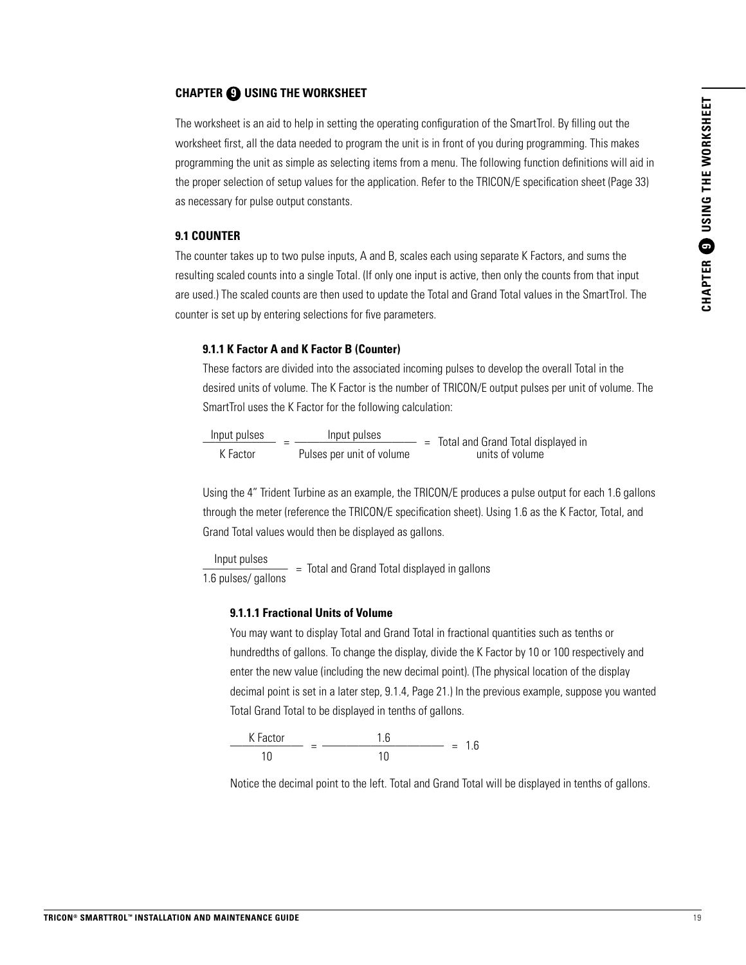#### **CHAPTER 9 USING THE WORKSHEET**

The worksheet is an aid to help in setting the operating configuration of the SmartTrol. By filling out the worksheet first, all the data needed to program the unit is in front of you during programming. This makes programming the unit as simple as selecting items from a menu. The following function definitions will aid in the proper selection of setup values for the application. Refer to the TRICON/E specification sheet (Page 33) as necessary for pulse output constants.

#### **9.1 COUNTER**

The counter takes up to two pulse inputs, A and B, scales each using separate K Factors, and sums the resulting scaled counts into a single Total. (If only one input is active, then only the counts from that input are used.) The scaled counts are then used to update the Total and Grand Total values in the SmartTrol. The counter is set up by entering selections for five parameters.

#### **9.1.1 K Factor A and K Factor B (Counter)**

These factors are divided into the associated incoming pulses to develop the overall Total in the desired units of volume. The K Factor is the number of TRICON/E output pulses per unit of volume. The SmartTrol uses the K Factor for the following calculation:

| Input pulses | Input pulses              | $=$ Total and Grand Total displayed in |
|--------------|---------------------------|----------------------------------------|
| K Factor     | Pulses per unit of volume | units of volume                        |

Using the 4" Trident Turbine as an example, the TRICON/E produces a pulse output for each 1.6 gallons through the meter (reference the TRICON/E specification sheet). Using 1.6 as the K Factor, Total, and Grand Total values would then be displayed as gallons.

 $\frac{1}{1.6}$  pulses  $\frac{1}{1.6}$  pulses/ gallons  $=$  Total and Grand Total displayed in gallons

#### **9.1.1.1 Fractional Units of Volume**

You may want to display Total and Grand Total in fractional quantities such as tenths or hundredths of gallons. To change the display, divide the K Factor by 10 or 100 respectively and enter the new value (including the new decimal point). (The physical location of the display decimal point is set in a later step, 9.1.4, Page 21.) In the previous example, suppose you wanted Total Grand Total to be displayed in tenths of gallons.



Notice the decimal point to the left. Total and Grand Total will be displayed in tenths of gallons.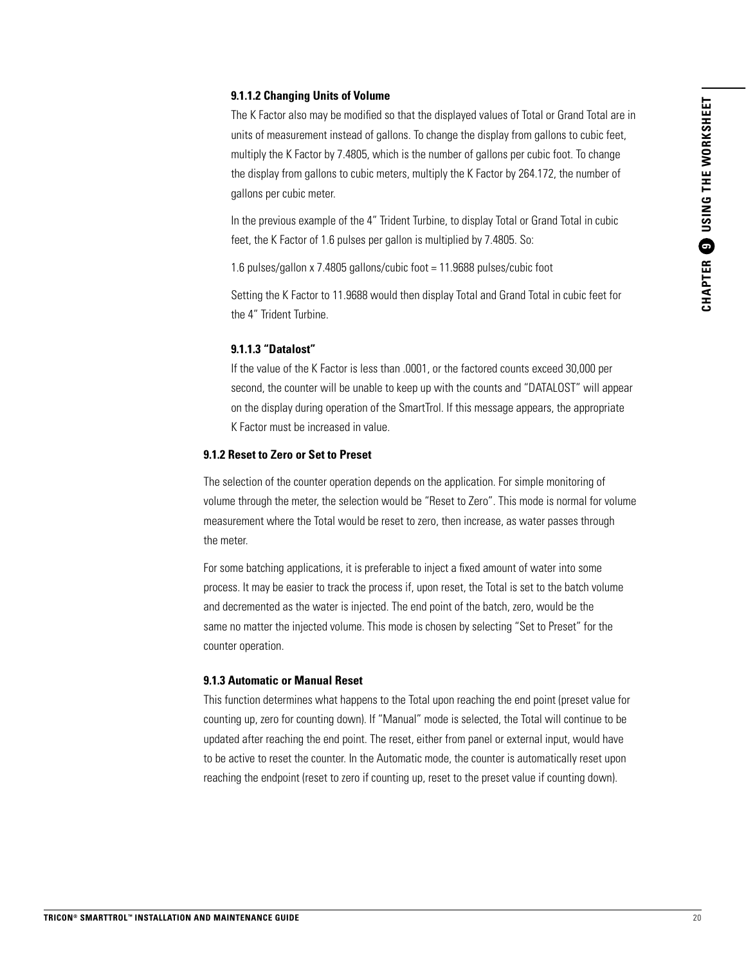#### **9.1.1.2 Changing Units of Volume**

The K Factor also may be modified so that the displayed values of Total or Grand Total are in units of measurement instead of gallons. To change the display from gallons to cubic feet, multiply the K Factor by 7.4805, which is the number of gallons per cubic foot. To change the display from gallons to cubic meters, multiply the K Factor by 264.172, the number of gallons per cubic meter.

In the previous example of the 4" Trident Turbine, to display Total or Grand Total in cubic feet, the K Factor of 1.6 pulses per gallon is multiplied by 7.4805. So:

1.6 pulses/gallon x 7.4805 gallons/cubic foot = 11.9688 pulses/cubic foot

Setting the K Factor to 11.9688 would then display Total and Grand Total in cubic feet for the 4" Trident Turbine.

#### **9.1.1.3 "Datalost"**

If the value of the K Factor is less than .0001, or the factored counts exceed 30,000 per second, the counter will be unable to keep up with the counts and "DATALOST" will appear on the display during operation of the SmartTrol. If this message appears, the appropriate K Factor must be increased in value.

#### **9.1.2 Reset to Zero or Set to Preset**

The selection of the counter operation depends on the application. For simple monitoring of volume through the meter, the selection would be "Reset to Zero". This mode is normal for volume measurement where the Total would be reset to zero, then increase, as water passes through the meter.

For some batching applications, it is preferable to inject a fixed amount of water into some process. It may be easier to track the process if, upon reset, the Total is set to the batch volume and decremented as the water is injected. The end point of the batch, zero, would be the same no matter the injected volume. This mode is chosen by selecting "Set to Preset" for the counter operation.

#### **9.1.3 Automatic or Manual Reset**

This function determines what happens to the Total upon reaching the end point (preset value for counting up, zero for counting down). If "Manual" mode is selected, the Total will continue to be updated after reaching the end point. The reset, either from panel or external input, would have to be active to reset the counter. In the Automatic mode, the counter is automatically reset upon reaching the endpoint (reset to zero if counting up, reset to the preset value if counting down).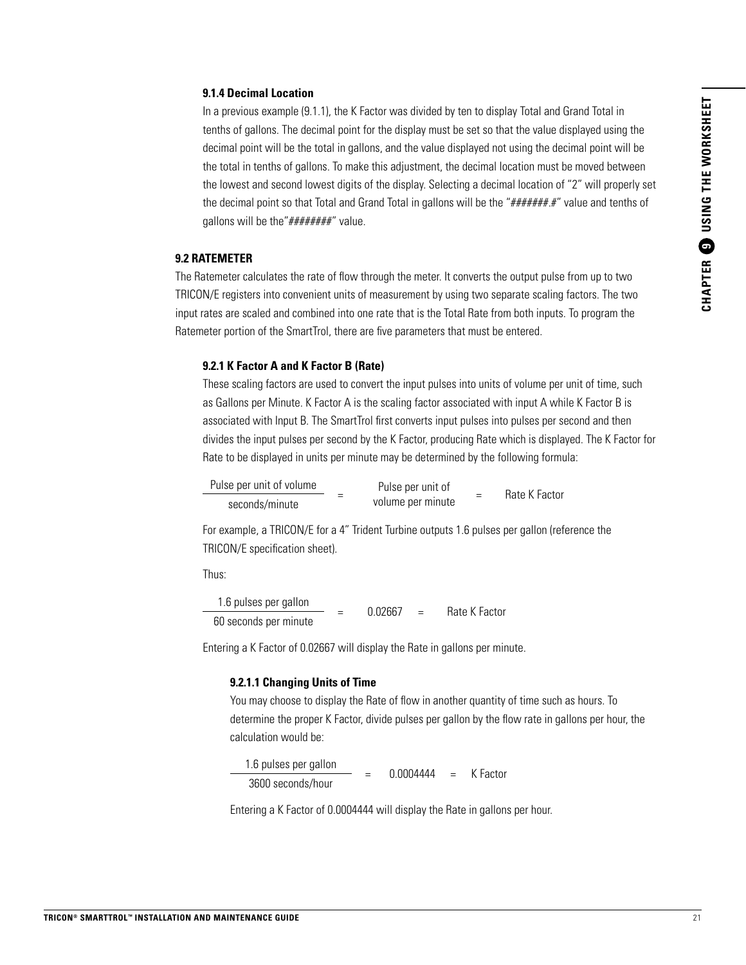#### **9.1.4 Decimal Location**

In a previous example (9.1.1), the K Factor was divided by ten to display Total and Grand Total in tenths of gallons. The decimal point for the display must be set so that the value displayed using the decimal point will be the total in gallons, and the value displayed not using the decimal point will be the total in tenths of gallons. To make this adjustment, the decimal location must be moved between the lowest and second lowest digits of the display. Selecting a decimal location of "2" will properly set the decimal point so that Total and Grand Total in gallons will be the "#######.#" value and tenths of gallons will be the"########" value.

#### **9.2 RATEMETER**

The Ratemeter calculates the rate of flow through the meter. It converts the output pulse from up to two TRICON/E registers into convenient units of measurement by using two separate scaling factors. The two input rates are scaled and combined into one rate that is the Total Rate from both inputs. To program the Ratemeter portion of the SmartTrol, there are five parameters that must be entered.

#### **9.2.1 K Factor A and K Factor B (Rate)**

These scaling factors are used to convert the input pulses into units of volume per unit of time, such as Gallons per Minute. K Factor A is the scaling factor associated with input A while K Factor B is associated with Input B. The SmartTrol first converts input pulses into pulses per second and then divides the input pulses per second by the K Factor, producing Rate which is displayed. The K Factor for Rate to be displayed in units per minute may be determined by the following formula:

| Pulse per unit of volume<br>seconds/minute | Pulse per unit of | $\overline{\phantom{a}}$ | Rate K Factor |
|--------------------------------------------|-------------------|--------------------------|---------------|
|                                            | volume per minute |                          |               |

For example, a TRICON/E for a 4" Trident Turbine outputs 1.6 pulses per gallon (reference the TRICON/E specification sheet).

Thus:

 $\frac{1.6 \text{ pulses per gallon}}{1.6 \text{ pulses per gallon}}$  = 0.02667 = Rate K Factor 60 seconds per minute

Entering a K Factor of 0.02667 will display the Rate in gallons per minute.

#### **9.2.1.1 Changing Units of Time**

You may choose to display the Rate of flow in another quantity of time such as hours. To determine the proper K Factor, divide pulses per gallon by the flow rate in gallons per hour, the calculation would be:

 $\frac{1.6 \text{ pulses per gallon}}{1.6 \text{ photons per gallon}}$  = 0.0004444 = K Factor 3600 seconds/hour

Entering a K Factor of 0.0004444 will display the Rate in gallons per hour.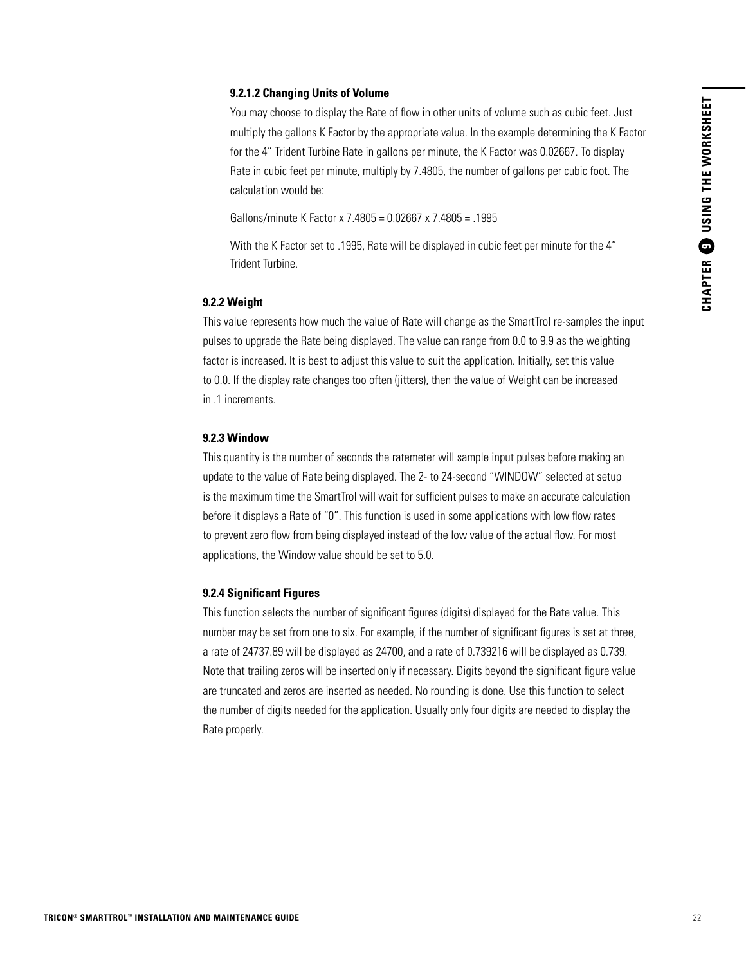#### **9.2.1.2 Changing Units of Volume**

You may choose to display the Rate of flow in other units of volume such as cubic feet. Just multiply the gallons K Factor by the appropriate value. In the example determining the K Factor for the 4" Trident Turbine Rate in gallons per minute, the K Factor was 0.02667. To display Rate in cubic feet per minute, multiply by 7.4805, the number of gallons per cubic foot. The calculation would be:

Gallons/minute K Factor x 7.4805 = 0.02667 x 7.4805 = .1995

With the K Factor set to .1995, Rate will be displayed in cubic feet per minute for the 4" Trident Turbine.

#### **9.2.2 Weight**

This value represents how much the value of Rate will change as the SmartTrol re-samples the input pulses to upgrade the Rate being displayed. The value can range from 0.0 to 9.9 as the weighting factor is increased. It is best to adjust this value to suit the application. Initially, set this value to 0.0. If the display rate changes too often (jitters), then the value of Weight can be increased in .1 increments.

#### **9.2.3 Window**

This quantity is the number of seconds the ratemeter will sample input pulses before making an update to the value of Rate being displayed. The 2- to 24-second "WINDOW" selected at setup is the maximum time the SmartTrol will wait for sufficient pulses to make an accurate calculation before it displays a Rate of "0". This function is used in some applications with low flow rates to prevent zero flow from being displayed instead of the low value of the actual flow. For most applications, the Window value should be set to 5.0.

#### **9.2.4 Significant Figures**

This function selects the number of significant figures (digits) displayed for the Rate value. This number may be set from one to six. For example, if the number of significant figures is set at three, a rate of 24737.89 will be displayed as 24700, and a rate of 0.739216 will be displayed as 0.739. Note that trailing zeros will be inserted only if necessary. Digits beyond the significant figure value are truncated and zeros are inserted as needed. No rounding is done. Use this function to select the number of digits needed for the application. Usually only four digits are needed to display the Rate properly.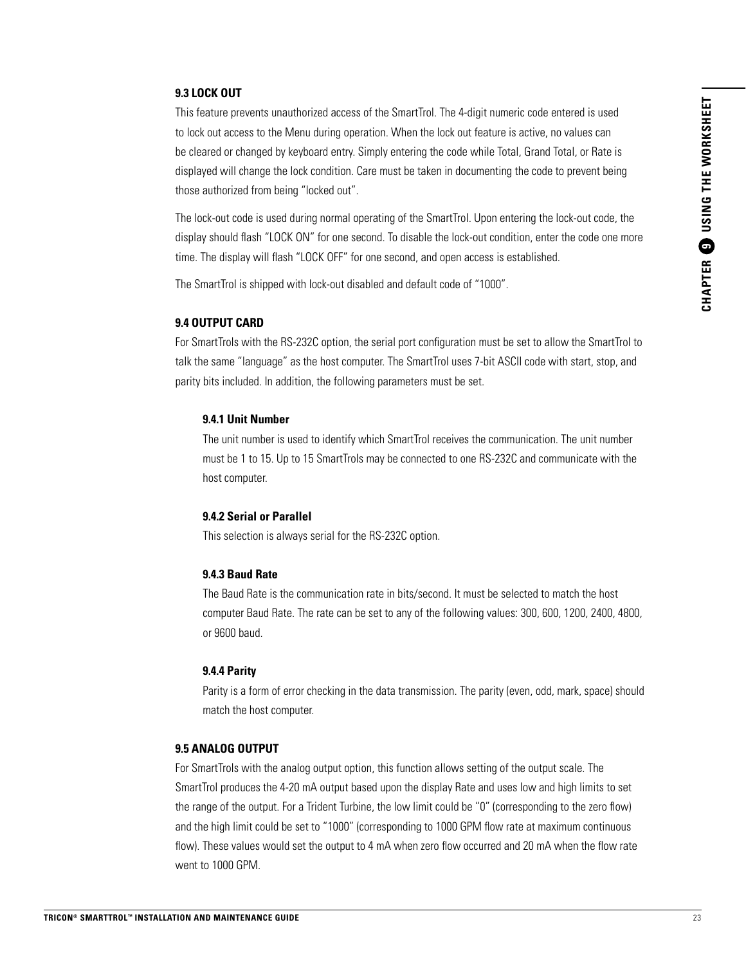#### **9.3 LOCK OUT**

This feature prevents unauthorized access of the SmartTrol. The 4-digit numeric code entered is used to lock out access to the Menu during operation. When the lock out feature is active, no values can be cleared or changed by keyboard entry. Simply entering the code while Total, Grand Total, or Rate is displayed will change the lock condition. Care must be taken in documenting the code to prevent being those authorized from being "locked out".

The lock-out code is used during normal operating of the SmartTrol. Upon entering the lock-out code, the display should flash "LOCK ON" for one second. To disable the lock-out condition, enter the code one more time. The display will flash "LOCK OFF" for one second, and open access is established.

The SmartTrol is shipped with lock-out disabled and default code of "1000".

#### **9.4 OUTPUT CARD**

For SmartTrols with the RS-232C option, the serial port configuration must be set to allow the SmartTrol to talk the same "language" as the host computer. The SmartTrol uses 7-bit ASCII code with start, stop, and parity bits included. In addition, the following parameters must be set.

#### **9.4.1 Unit Number**

The unit number is used to identify which SmartTrol receives the communication. The unit number must be 1 to 15. Up to 15 SmartTrols may be connected to one RS-232C and communicate with the host computer.

#### **9.4.2 Serial or Parallel**

This selection is always serial for the RS-232C option.

#### **9.4.3 Baud Rate**

The Baud Rate is the communication rate in bits/second. It must be selected to match the host computer Baud Rate. The rate can be set to any of the following values: 300, 600, 1200, 2400, 4800, or 9600 baud.

#### **9.4.4 Parity**

Parity is a form of error checking in the data transmission. The parity (even, odd, mark, space) should match the host computer.

#### **9.5 ANALOG OUTPUT**

For SmartTrols with the analog output option, this function allows setting of the output scale. The SmartTrol produces the 4-20 mA output based upon the display Rate and uses low and high limits to set the range of the output. For a Trident Turbine, the low limit could be "0" (corresponding to the zero flow) and the high limit could be set to "1000" (corresponding to 1000 GPM flow rate at maximum continuous flow). These values would set the output to 4 mA when zero flow occurred and 20 mA when the flow rate went to 1000 GPM.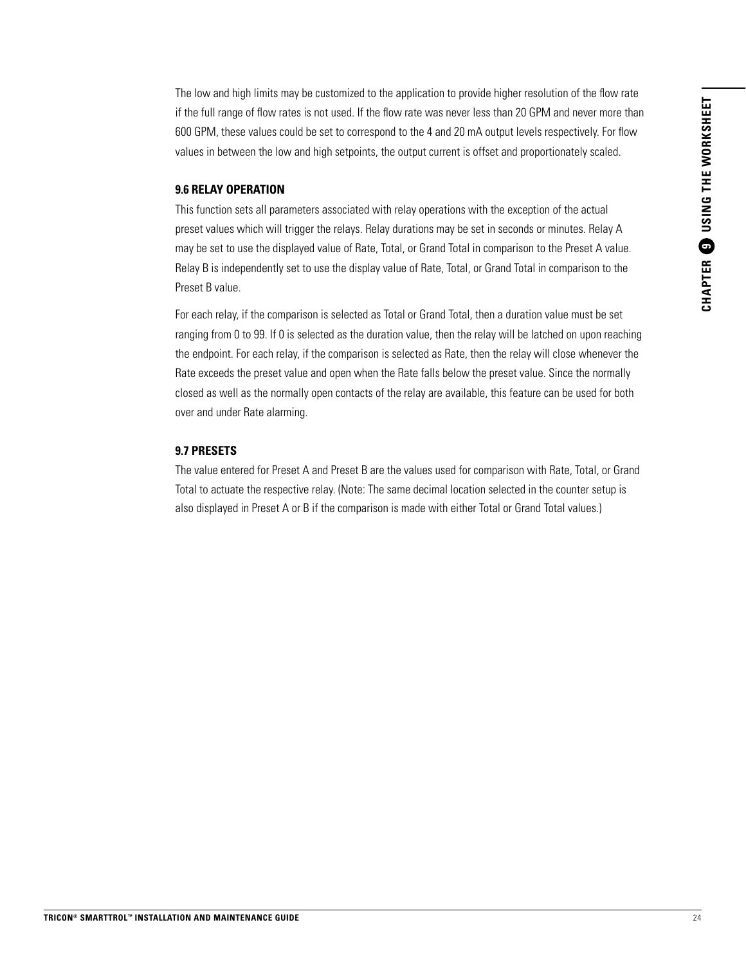The low and high limits may be customized to the application to provide higher resolution of the flow rate if the full range of flow rates is not used. If the flow rate was never less than 20 GPM and never more than 600 GPM, these values could be set to correspond to the 4 and 20 mA output levels respectively. For flow values in between the low and high setpoints, the output current is offset and proportionately scaled.

#### **9.6 RELAY OPERATION**

This function sets all parameters associated with relay operations with the exception of the actual preset values which will trigger the relays. Relay durations may be set in seconds or minutes. Relay A may be set to use the displayed value of Rate, Total, or Grand Total in comparison to the Preset A value. Relay B is independently set to use the display value of Rate, Total, or Grand Total in comparison to the Preset B value.

For each relay, if the comparison is selected as Total or Grand Total, then a duration value must be set ranging from 0 to 99. If 0 is selected as the duration value, then the relay will be latched on upon reaching the endpoint. For each relay, if the comparison is selected as Rate, then the relay will close whenever the Rate exceeds the preset value and open when the Rate falls below the preset value. Since the normally closed as well as the normally open contacts of the relay are available, this feature can be used for both over and under Rate alarming.

#### **9.7 PRESETS**

The value entered for Preset A and Preset B are the values used for comparison with Rate, Total, or Grand Total to actuate the respective relay. (Note: The same decimal location selected in the counter setup is also displayed in Preset A or B if the comparison is made with either Total or Grand Total values.)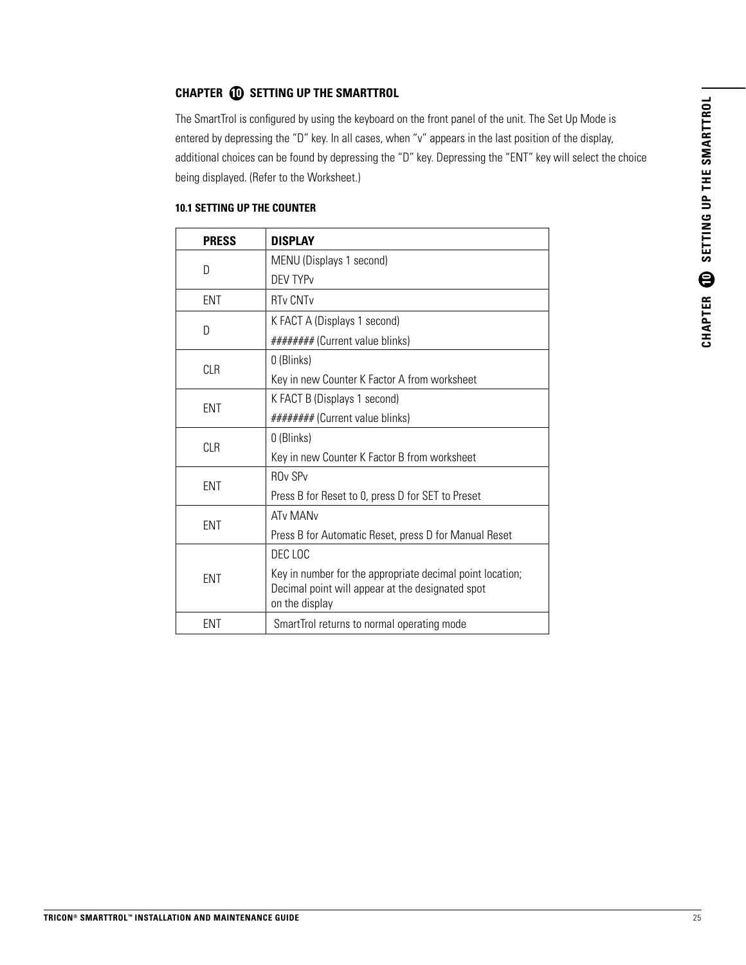#### **CHAPTER 10 SETTING UP THE SMARTTROL**

The SmartTrol is configured by using the keyboard on the front panel of the unit. The Set Up Mode is entered by depressing the "D" key. In all cases, when "v" appears in the last position of the display, additional choices can be found by depressing the "D" key. Depressing the "ENT" key will select the choice being displayed. (Refer to the Worksheet.)

| <b>PRESS</b> | <b>DISPLAY</b>                                                                                                                  |
|--------------|---------------------------------------------------------------------------------------------------------------------------------|
| D            | MENU (Displays 1 second)                                                                                                        |
|              | <b>DEV TYPV</b>                                                                                                                 |
| ENT          | <b>RTv CNTv</b>                                                                                                                 |
|              | K FACT A (Displays 1 second)                                                                                                    |
| D            | ######## (Current value blinks)                                                                                                 |
|              | 0 (Blinks)                                                                                                                      |
| CLR          | Key in new Counter K Factor A from worksheet                                                                                    |
| ENT          | K FACT B (Displays 1 second)                                                                                                    |
|              | ######## (Current value blinks)                                                                                                 |
| <b>CLR</b>   | 0 (Blinks)                                                                                                                      |
|              | Key in new Counter K Factor B from worksheet                                                                                    |
| ENT          | <b>ROv SPv</b>                                                                                                                  |
|              | Press B for Reset to 0, press D for SET to Preset                                                                               |
|              | <b>ATv MANv</b>                                                                                                                 |
| ENT          | Press B for Automatic Reset, press D for Manual Reset                                                                           |
| <b>FNT</b>   | DEC LOC                                                                                                                         |
|              | Key in number for the appropriate decimal point location;<br>Decimal point will appear at the designated spot<br>on the display |
| ENT          | SmartTrol returns to normal operating mode                                                                                      |

#### **10.1 SETTING UP THE COUNTER**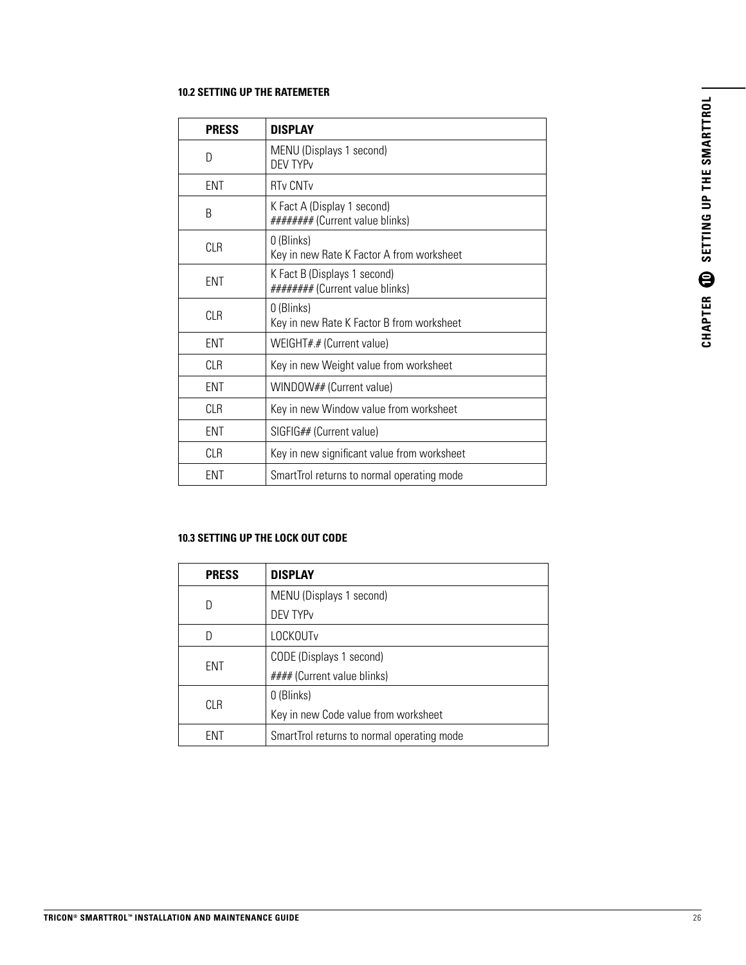#### **10.2 SETTING UP THE RATEMETER**

| <b>PRESS</b> | <b>DISPLAY</b>                                                  |
|--------------|-----------------------------------------------------------------|
| D            | MENU (Displays 1 second)<br><b>DEV TYPV</b>                     |
| <b>ENT</b>   | <b>RTy CNTy</b>                                                 |
| B            | K Fact A (Display 1 second)<br>######## (Current value blinks)  |
| CLR          | 0 (Blinks)<br>Key in new Rate K Factor A from worksheet         |
| <b>FNT</b>   | K Fact B (Displays 1 second)<br>######## (Current value blinks) |
| <b>CLR</b>   | 0 (Blinks)<br>Key in new Rate K Factor B from worksheet         |
| <b>FNT</b>   | WEIGHT#.# (Current value)                                       |
| CI R         | Key in new Weight value from worksheet                          |
| <b>FNT</b>   | WINDOW## (Current value)                                        |
| CI R         | Key in new Window value from worksheet                          |
| ENT          | SIGFIG## (Current value)                                        |
| <b>CLR</b>   | Key in new significant value from worksheet                     |
| ent          | SmartTrol returns to normal operating mode                      |

#### **10.3 SETTING UP THE LOCK OUT CODE**

| <b>PRESS</b> | <b>DISPLAY</b>                             |
|--------------|--------------------------------------------|
| D            | MENU (Displays 1 second)                   |
|              | DEV TYP <sub>v</sub>                       |
| D            | <b>LOCKOUTv</b>                            |
| ENT          | CODE (Displays 1 second)                   |
|              | #### (Current value blinks)                |
| CLR          | 0 (Blinks)                                 |
|              | Key in new Code value from worksheet       |
| FNT          | SmartTrol returns to normal operating mode |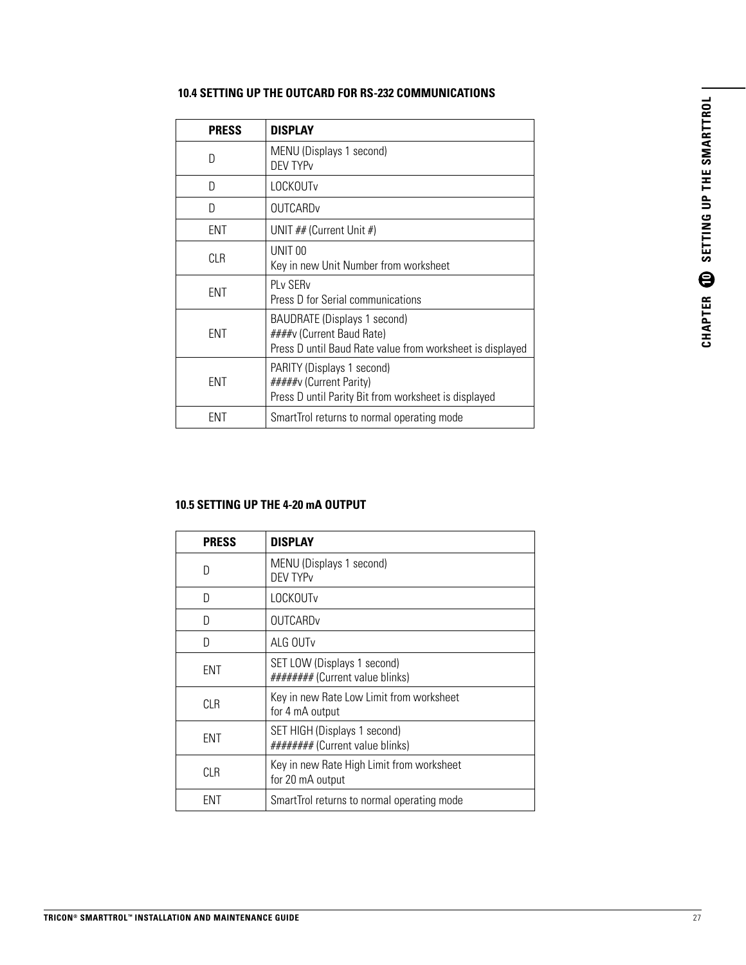| <b>PRESS</b> | <b>DISPLAY</b>                                                                                                                |
|--------------|-------------------------------------------------------------------------------------------------------------------------------|
| D            | MENU (Displays 1 second)<br>DEV TYP <sub>v</sub>                                                                              |
| D            | LOCKOUTv                                                                                                                      |
| D            | <b>OUTCARD</b>                                                                                                                |
| <b>FNT</b>   | UNIT ## (Current Unit #)                                                                                                      |
| CI R         | UNIT 00<br>Key in new Unit Number from worksheet                                                                              |
| <b>FNT</b>   | PI v SFR <sub>v</sub><br>Press D for Serial communications                                                                    |
| <b>FNT</b>   | <b>BAUDRATE (Displays 1 second)</b><br>####v (Current Baud Rate)<br>Press D until Baud Rate value from worksheet is displayed |
| ENT          | PARITY (Displays 1 second)<br>#####v (Current Parity)<br>Press D until Parity Bit from worksheet is displayed                 |
| FNT          | SmartTrol returns to normal operating mode                                                                                    |

#### **10.4 SETTING UP THE OUTCARD FOR RS-232 COMMUNICATIONS**

#### **10.5 SETTING UP THE 4-20 mA OUTPUT**

| <b>PRESS</b> | <b>DISPLAY</b>                                                  |
|--------------|-----------------------------------------------------------------|
| D            | MENU (Displays 1 second)<br><b>DFV TYP<sub>V</sub></b>          |
| D            | LOCKOUTv                                                        |
| D            | OUTCARDy                                                        |
| D            | ALG OUT <sub>v</sub>                                            |
| <b>FNT</b>   | SET LOW (Displays 1 second)<br>######## (Current value blinks)  |
| CLB.         | Key in new Rate Low Limit from worksheet<br>for 4 mA output     |
| <b>FNT</b>   | SET HIGH (Displays 1 second)<br>######## (Current value blinks) |
| <b>CLR</b>   | Key in new Rate High Limit from worksheet<br>for 20 mA output   |
| FNT          | SmartTrol returns to normal operating mode                      |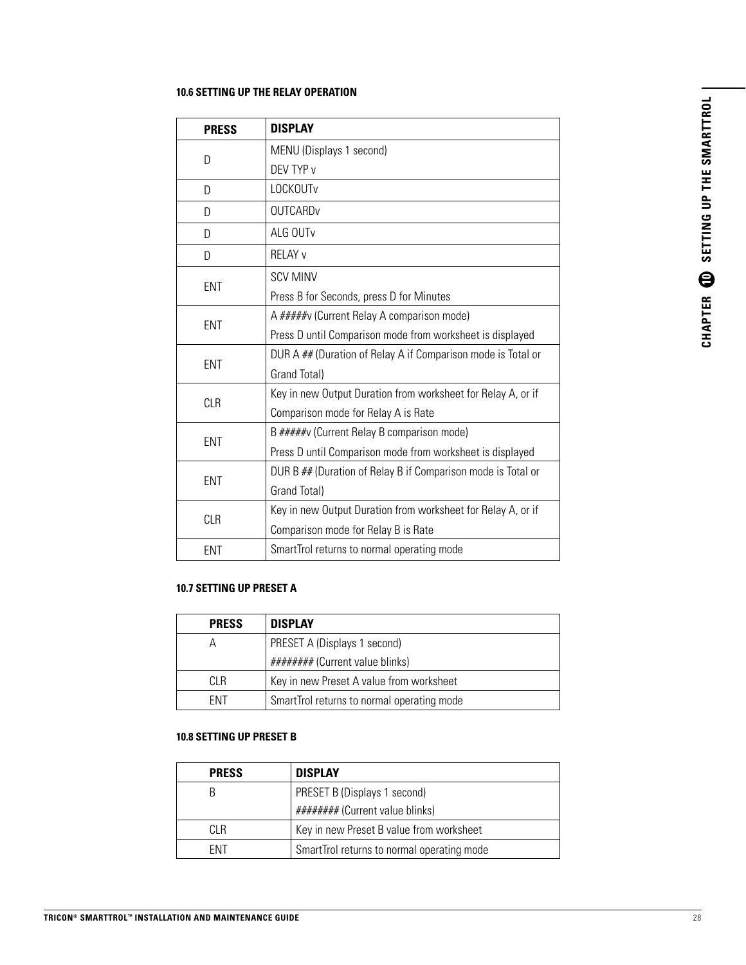#### **10.6 SETTING UP THE RELAY OPERATION**

| <b>PRESS</b> | <b>DISPLAY</b>                                               |
|--------------|--------------------------------------------------------------|
| D            | MENU (Displays 1 second)                                     |
|              | DEV TYP v                                                    |
| D            | LOCKOUTv                                                     |
| D            | <b>OUTCARDv</b>                                              |
| D            | ALG OUTv                                                     |
| D            | <b>RELAY v</b>                                               |
|              | <b>SCV MINV</b>                                              |
| <b>ENT</b>   | Press B for Seconds, press D for Minutes                     |
|              | A #####v (Current Relay A comparison mode)                   |
| <b>ENT</b>   | Press D until Comparison mode from worksheet is displayed    |
| <b>ENT</b>   | DUR A ## (Duration of Relay A if Comparison mode is Total or |
|              | Grand Total)                                                 |
| <b>CLR</b>   | Key in new Output Duration from worksheet for Relay A, or if |
|              | Comparison mode for Relay A is Rate                          |
| <b>ENT</b>   | B #####v (Current Relay B comparison mode)                   |
|              | Press D until Comparison mode from worksheet is displayed    |
| <b>ENT</b>   | DUR B ## (Duration of Relay B if Comparison mode is Total or |
|              | Grand Total)                                                 |
| <b>CLR</b>   | Key in new Output Duration from worksheet for Relay A, or if |
|              | Comparison mode for Relay B is Rate                          |
| <b>ENT</b>   | SmartTrol returns to normal operating mode                   |

#### **10.7 SETTING UP PRESET A**

| <b>PRESS</b> | <b>DISPLAY</b>                             |
|--------------|--------------------------------------------|
| А            | PRESET A (Displays 1 second)               |
|              | ######## (Current value blinks)            |
| CI R         | Key in new Preset A value from worksheet   |
| <b>FNT</b>   | SmartTrol returns to normal operating mode |

#### **10.8 SETTING UP PRESET B**

| <b>PRESS</b> | <b>DISPLAY</b>                             |
|--------------|--------------------------------------------|
| B            | PRESET B (Displays 1 second)               |
|              | ######## (Current value blinks)            |
| CI R         | Key in new Preset B value from worksheet   |
| <b>FNT</b>   | SmartTrol returns to normal operating mode |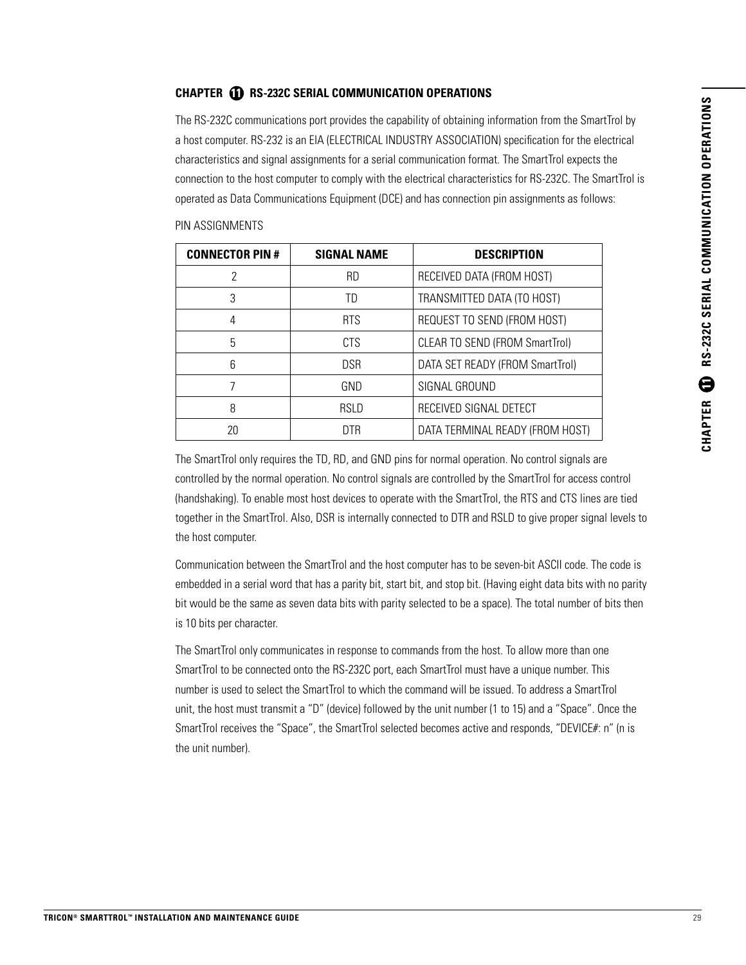#### **CHAPTER 11 RS-232C SERIAL COMMUNICATION OPERATIONS**

The RS-232C communications port provides the capability of obtaining information from the SmartTrol by a host computer. RS-232 is an EIA (ELECTRICAL INDUSTRY ASSOCIATION) specification for the electrical characteristics and signal assignments for a serial communication format. The SmartTrol expects the connection to the host computer to comply with the electrical characteristics for RS-232C. The SmartTrol is operated as Data Communications Equipment (DCE) and has connection pin assignments as follows:

| <b>CONNECTOR PIN #</b> | <b>SIGNAL NAME</b> | <b>DESCRIPTION</b>                    |
|------------------------|--------------------|---------------------------------------|
| 2                      | <b>RD</b>          | RECEIVED DATA (FROM HOST)             |
| 3                      | TD                 | TRANSMITTED DATA (TO HOST)            |
| 4                      | <b>RTS</b>         | REQUEST TO SEND (FROM HOST)           |
| 5                      | <b>CTS</b>         | <b>CLEAR TO SEND (FROM SmartTrol)</b> |
| 6                      | <b>DSR</b>         | DATA SET READY (FROM SmartTrol)       |
| 7                      | GND                | SIGNAL GROUND                         |
| 8                      | RSI D              | RECEIVED SIGNAL DETECT                |
| 20                     | DTR                | DATA TERMINAL READY (FROM HOST)       |

#### PIN ASSIGNMENTS

The SmartTrol only requires the TD, RD, and GND pins for normal operation. No control signals are controlled by the normal operation. No control signals are controlled by the SmartTrol for access control (handshaking). To enable most host devices to operate with the SmartTrol, the RTS and CTS lines are tied together in the SmartTrol. Also, DSR is internally connected to DTR and RSLD to give proper signal levels to the host computer.

Communication between the SmartTrol and the host computer has to be seven-bit ASCII code. The code is embedded in a serial word that has a parity bit, start bit, and stop bit. (Having eight data bits with no parity bit would be the same as seven data bits with parity selected to be a space). The total number of bits then is 10 bits per character.

The SmartTrol only communicates in response to commands from the host. To allow more than one SmartTrol to be connected onto the RS-232C port, each SmartTrol must have a unique number. This number is used to select the SmartTrol to which the command will be issued. To address a SmartTrol unit, the host must transmit a "D" (device) followed by the unit number (1 to 15) and a "Space". Once the SmartTrol receives the "Space", the SmartTrol selected becomes active and responds, "DEVICE#: n" (n is the unit number).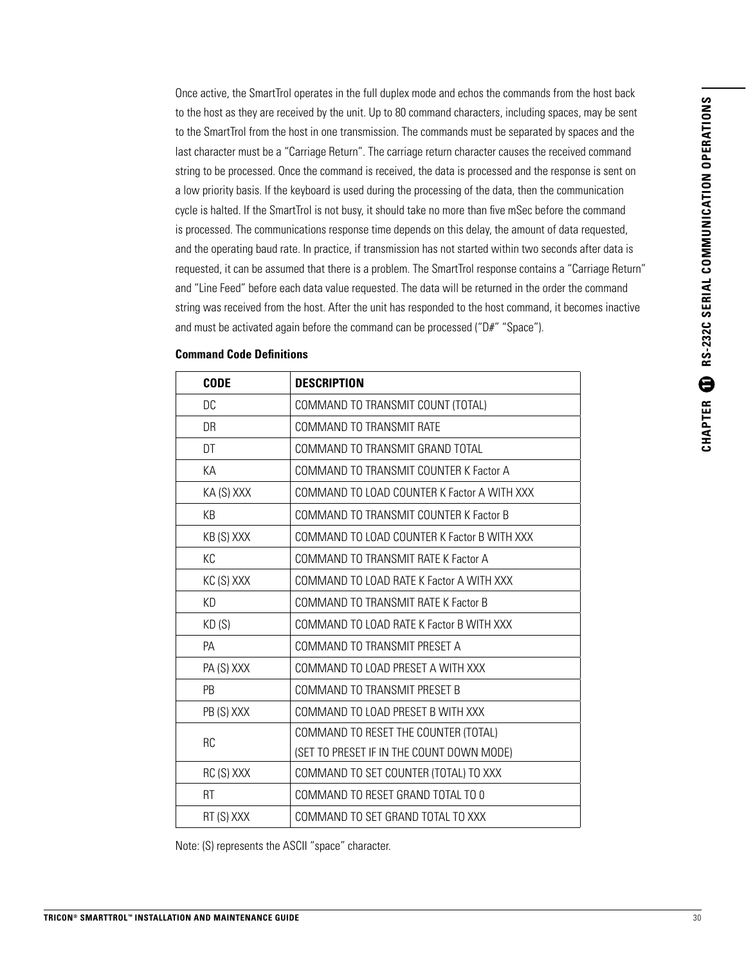Once active, the SmartTrol operates in the full duplex mode and echos the commands from the host back to the host as they are received by the unit. Up to 80 command characters, including spaces, may be sent to the SmartTrol from the host in one transmission. The commands must be separated by spaces and the last character must be a "Carriage Return". The carriage return character causes the received command string to be processed. Once the command is received, the data is processed and the response is sent on a low priority basis. If the keyboard is used during the processing of the data, then the communication cycle is halted. If the SmartTrol is not busy, it should take no more than five mSec before the command is processed. The communications response time depends on this delay, the amount of data requested, and the operating baud rate. In practice, if transmission has not started within two seconds after data is requested, it can be assumed that there is a problem. The SmartTrol response contains a "Carriage Return" and "Line Feed" before each data value requested. The data will be returned in the order the command string was received from the host. After the unit has responded to the host command, it becomes inactive and must be activated again before the command can be processed ("D#" "Space").

| <b>CODE</b> | <b>DESCRIPTION</b>                          |
|-------------|---------------------------------------------|
| DC          | COMMAND TO TRANSMIT COUNT (TOTAL)           |
| DR          | COMMAND TO TRANSMIT RATE                    |
| DT          | COMMAND TO TRANSMIT GRAND TOTAL             |
| KА          | COMMAND TO TRANSMIT COUNTER K Factor A      |
| KA (S) XXX  | COMMAND TO LOAD COUNTER K Factor A WITH XXX |
| KB          | COMMAND TO TRANSMIT COUNTER K Factor B      |
| KB(S) XXX   | COMMAND TO LOAD COUNTER K Factor B WITH XXX |
| KC          | COMMAND TO TRANSMIT RATE K Factor A         |
| KC(S) XXX   | COMMAND TO LOAD RATE K Factor A WITH XXX    |
| <b>KD</b>   | COMMAND TO TRANSMIT RATE K Factor B         |
| KD(S)       | COMMAND TO LOAD RATE K Factor B WITH XXX    |
| <b>PA</b>   | COMMAND TO TRANSMIT PRESET A                |
| PA (S) XXX  | COMMAND TO LOAD PRESET A WITH XXX           |
| <b>PB</b>   | COMMAND TO TRANSMIT PRESET B                |
| PB (S) XXX  | COMMAND TO LOAD PRESET B WITH XXX           |
| <b>RC</b>   | COMMAND TO RESET THE COUNTER (TOTAL)        |
|             | (SET TO PRESET IF IN THE COUNT DOWN MODE)   |
| RC(S) XXX   | COMMAND TO SET COUNTER (TOTAL) TO XXX       |
| <b>RT</b>   | COMMAND TO RESET GRAND TOTAL TO 0           |
| RT (S) XXX  | COMMAND TO SET GRAND TOTAL TO XXX           |
|             |                                             |

#### **Command Code Definitions**

Note: (S) represents the ASCII "space" character.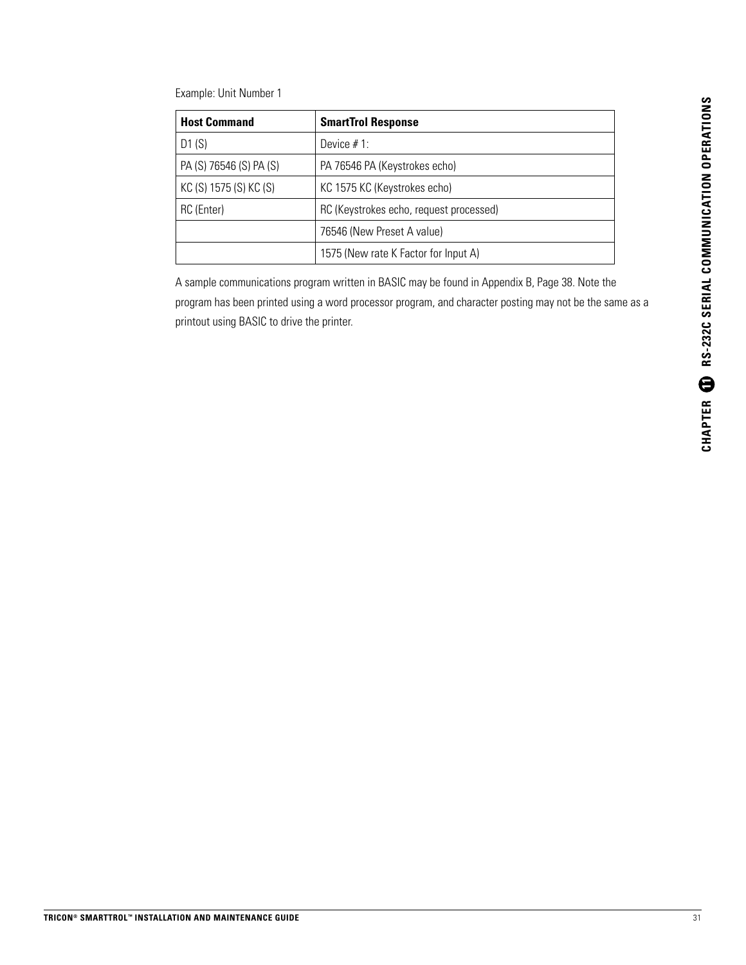Example: Unit Number 1

| <b>Host Command</b>     | <b>SmartTrol Response</b>               |
|-------------------------|-----------------------------------------|
| D1(S)                   | Device $# 1$ :                          |
| PA (S) 76546 (S) PA (S) | PA 76546 PA (Keystrokes echo)           |
| KC (S) 1575 (S) KC (S)  | KC 1575 KC (Keystrokes echo)            |
| RC (Enter)              | RC (Keystrokes echo, request processed) |
|                         | 76546 (New Preset A value)              |
|                         | 1575 (New rate K Factor for Input A)    |

A sample communications program written in BASIC may be found in Appendix B, Page 38. Note the program has been printed using a word processor program, and character posting may not be the same as a printout using BASIC to drive the printer.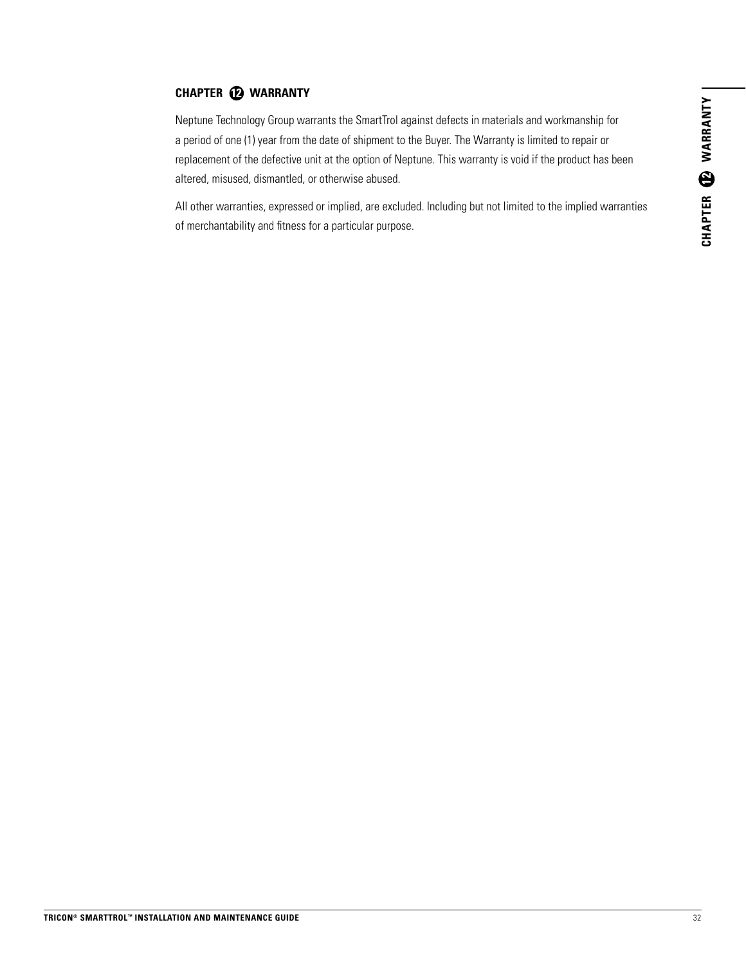#### **CHAPTER 12 WARRANTY**

Neptune Technology Group warrants the SmartTrol against defects in materials and workmanship for a period of one (1) year from the date of shipment to the Buyer. The Warranty is limited to repair or replacement of the defective unit at the option of Neptune. This warranty is void if the product has been altered, misused, dismantled, or otherwise abused.

All other warranties, expressed or implied, are excluded. Including but not limited to the implied warranties of merchantability and fitness for a particular purpose.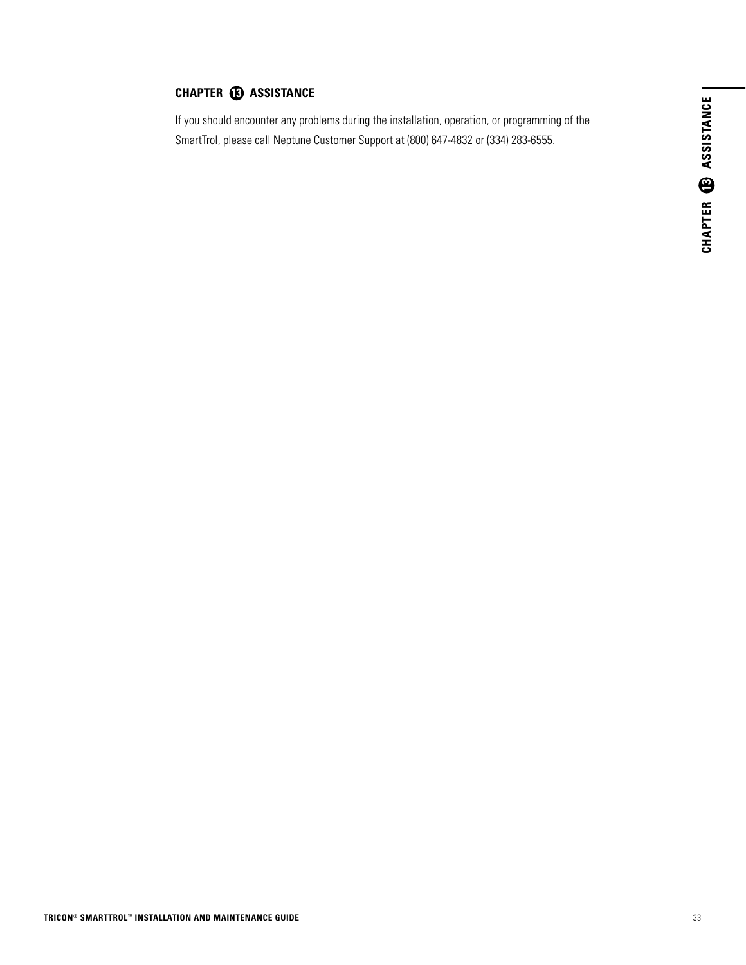#### **CHAPTER <b>13** ASSISTANCE

If you should encounter any problems during the installation, operation, or programming of the SmartTrol, please call Neptune Customer Support at (800) 647-4832 or (334) 283-6555.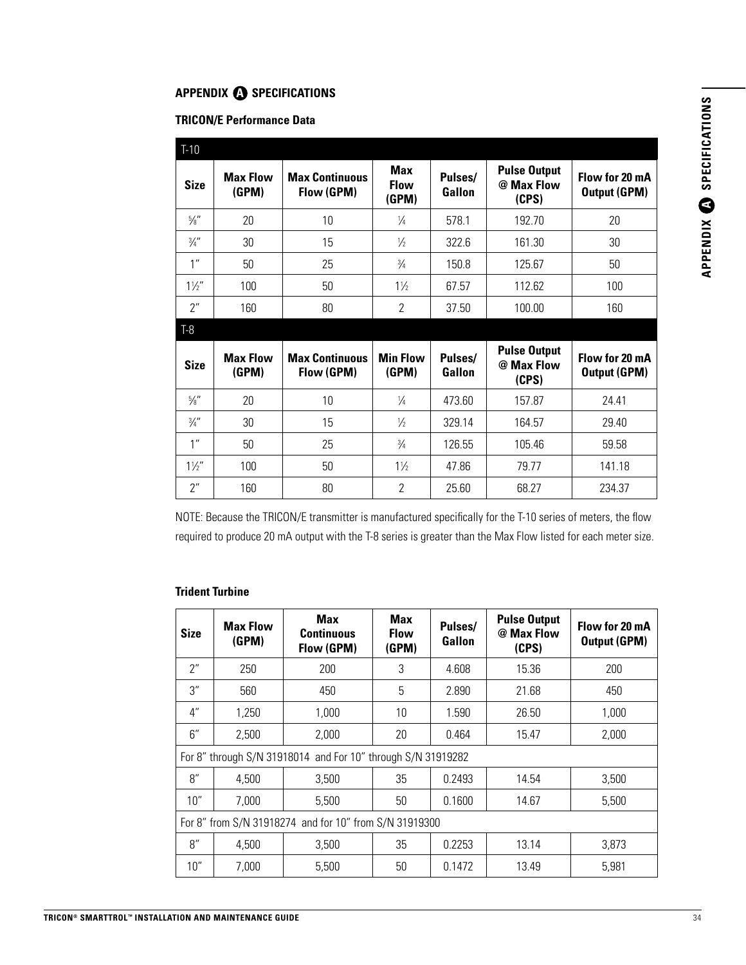#### **APPENDIX @ SPECIFICATIONS**

#### **TRICON/E Performance Data**

| $T-10$          |                          |                                     |                             |                   |                                            |                                       |
|-----------------|--------------------------|-------------------------------------|-----------------------------|-------------------|--------------------------------------------|---------------------------------------|
| <b>Size</b>     | <b>Max Flow</b><br>(GPM) | <b>Max Continuous</b><br>Flow (GPM) | Max<br><b>Flow</b><br>(GPM) | Pulses/<br>Gallon | <b>Pulse Output</b><br>@ Max Flow<br>(CPS) | Flow for 20 mA<br><b>Output (GPM)</b> |
| $\frac{5}{8}$ " | 20                       | 10                                  | $\frac{1}{4}$               | 578.1             | 192.70                                     | 20                                    |
| $\frac{3}{4}$ " | 30                       | 15                                  | $\frac{1}{2}$               | 322.6             | 161.30                                     | 30                                    |
| 1 <sup>''</sup> | 50                       | 25                                  | $\frac{3}{4}$               | 150.8             | 125.67                                     | 50                                    |
| $1\frac{1}{2}$  | 100                      | 50                                  | $1\frac{1}{2}$              | 67.57             | 112.62                                     | 100                                   |
| 2"              | 160                      | 80                                  | $\mathfrak{p}$              | 37.50             | 100.00                                     | 160                                   |
| T-8             |                          |                                     |                             |                   |                                            |                                       |
| <b>Size</b>     | <b>Max Flow</b><br>(GPM) | <b>Max Continuous</b><br>Flow (GPM) | <b>Min Flow</b><br>(GPM)    | Pulses/<br>Gallon | <b>Pulse Output</b><br>@ Max Flow<br>(CPS) | Flow for 20 mA<br><b>Output (GPM)</b> |
| $\frac{5}{8}$ " | 20                       | 10                                  | $\frac{1}{4}$               | 473.60            | 157.87                                     | 24.41                                 |
| $\frac{3}{4}$ " | 30                       | 15                                  | $\frac{1}{2}$               | 329.14            | 164.57                                     | 29.40                                 |
| 1 <sup>''</sup> | 50                       | 25                                  | $\frac{3}{4}$               | 126.55            | 105.46                                     | 59.58                                 |
| $1\frac{1}{2}$  | 100                      | 50                                  | $1\frac{1}{2}$              | 47.86             | 79.77                                      | 141.18                                |
| 2"              | 160                      | 80                                  | $\overline{2}$              | 25.60             | 68.27                                      | 234.37                                |

NOTE: Because the TRICON/E transmitter is manufactured specifically for the T-10 series of meters, the flow required to produce 20 mA output with the T-8 series is greater than the Max Flow listed for each meter size.

#### **Trident Turbine**

| <b>Size</b>                                            | <b>Max Flow</b><br>(GPM) | Max<br><b>Continuous</b><br>Flow (GPM)                       | <b>Max</b><br><b>Flow</b><br>(GPM) | Pulses/<br>Gallon | <b>Pulse Output</b><br>@ Max Flow<br>(CPS) | Flow for 20 mA<br><b>Output (GPM)</b> |
|--------------------------------------------------------|--------------------------|--------------------------------------------------------------|------------------------------------|-------------------|--------------------------------------------|---------------------------------------|
| 2"                                                     | 250                      | 200                                                          | 3                                  | 4.608             | 15.36                                      | 200                                   |
| 3"                                                     | 560                      | 450                                                          | 5                                  | 2.890             | 21.68                                      | 450                                   |
| $4^{\prime\prime}$                                     | 1.250                    | 1.000                                                        | 10                                 | 1.590             | 26.50                                      | 1,000                                 |
| 6''                                                    | 2,500                    | 2,000                                                        | 20                                 | 0.464             | 15.47                                      | 2,000                                 |
|                                                        |                          | For 8" through S/N 31918014 and For 10" through S/N 31919282 |                                    |                   |                                            |                                       |
| 8''                                                    | 4,500                    | 3.500                                                        | 35                                 | 0.2493            | 14.54                                      | 3,500                                 |
| 10"                                                    | 7,000                    | 5,500                                                        | 50                                 | 0.1600            | 14.67                                      | 5,500                                 |
| For 8" from S/N 31918274 and for 10" from S/N 31919300 |                          |                                                              |                                    |                   |                                            |                                       |
| 8''                                                    | 4.500                    | 3.500                                                        | 35                                 | 0.2253            | 13.14                                      | 3,873                                 |
| 10"                                                    | 7.000                    | 5.500                                                        | 50                                 | 0.1472            | 13.49                                      | 5,981                                 |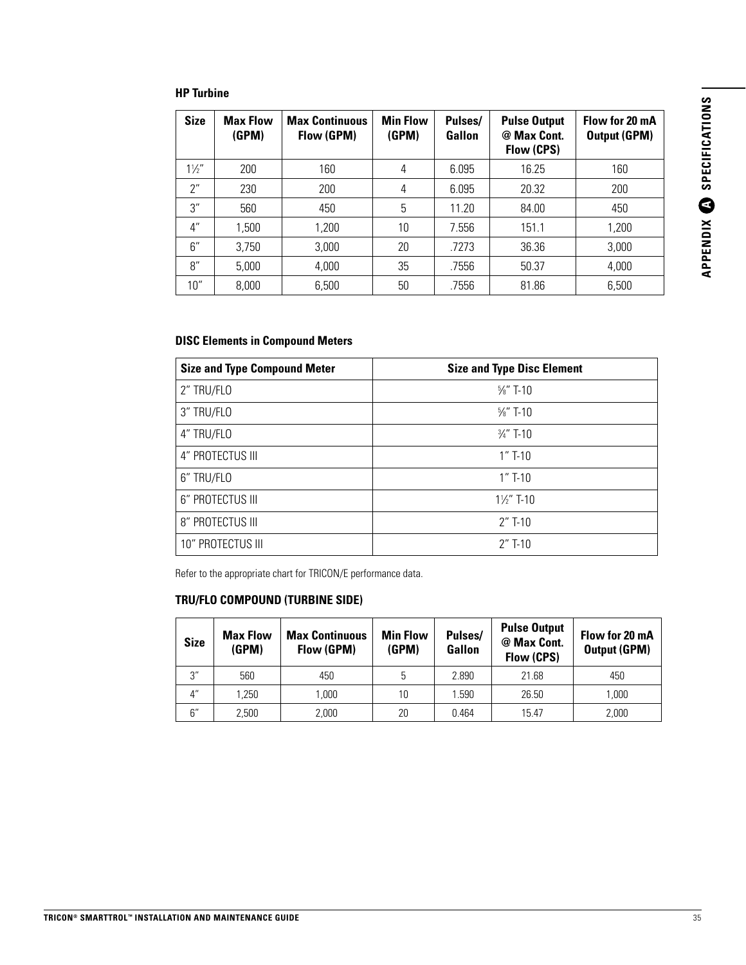#### **HP Turbine**

| <b>Size</b>        | <b>Max Flow</b><br>(GPM) | <b>Max Continuous</b><br>Flow (GPM) | <b>Min Flow</b><br>(GPM) | Pulses/<br>Gallon | <b>Pulse Output</b><br>@ Max Cont.<br>Flow (CPS) | Flow for 20 mA<br><b>Output (GPM)</b> |
|--------------------|--------------------------|-------------------------------------|--------------------------|-------------------|--------------------------------------------------|---------------------------------------|
| $1\frac{1}{2}$     | 200                      | 160                                 | 4                        | 6.095             | 16.25                                            | 160                                   |
| 2"                 | 230                      | 200                                 | $\overline{4}$           | 6.095             | 20.32                                            | 200                                   |
| 3''                | 560                      | 450                                 | 5                        | 11.20             | 84.00                                            | 450                                   |
| $4^{\prime\prime}$ | 1,500                    | 1,200                               | 10                       | 7.556             | 151.1                                            | 1,200                                 |
| 6''                | 3,750                    | 3,000                               | 20                       | .7273             | 36.36                                            | 3.000                                 |
| 8''                | 5,000                    | 4,000                               | 35                       | .7556             | 50.37                                            | 4,000                                 |
| 10"                | 8,000                    | 6,500                               | 50                       | .7556             | 81.86                                            | 6,500                                 |

#### **DISC Elements in Compound Meters**

| <b>Size and Type Compound Meter</b> | <b>Size and Type Disc Element</b> |
|-------------------------------------|-----------------------------------|
| 2" TRU/FLO                          | $\frac{5}{8}$ " T-10              |
| 3" TRU/FLO                          | $\frac{5}{8}$ " T-10              |
| 4" TRU/FLO                          | $\frac{3}{4}$ " T-10              |
| 4" PROTECTUS III                    | $1''$ T-10                        |
| 6" TRU/FLO                          | $1''$ T-10                        |
| 6" PROTECTUS III                    | $1\frac{1}{2}$ T-10               |
| 8" PROTECTUS III                    | $2''$ T-10                        |
| 10" PROTECTUS III                   | $2''$ T-10                        |

Refer to the appropriate chart for TRICON/E performance data.

#### **TRU/FLO COMPOUND (TURBINE SIDE)**

| <b>Size</b>        | <b>Max Flow</b><br>(GPM) | <b>Max Continuous</b><br>Flow (GPM) | <b>Min Flow</b><br>(GPM) | Pulses/<br>Gallon | <b>Pulse Output</b><br>@ Max Cont.<br>Flow (CPS) | Flow for 20 mA<br><b>Output (GPM)</b> |
|--------------------|--------------------------|-------------------------------------|--------------------------|-------------------|--------------------------------------------------|---------------------------------------|
| 3''                | 560                      | 450                                 | 5                        | 2.890             | 21.68                                            | 450                                   |
| $4^{\prime\prime}$ | 1.250                    | 1.000                               | 10                       | 1.590             | 26.50                                            | 1.000                                 |
| 6″                 | 2.500                    | 2.000                               | 20                       | 0.464             | 15.47                                            | 2,000                                 |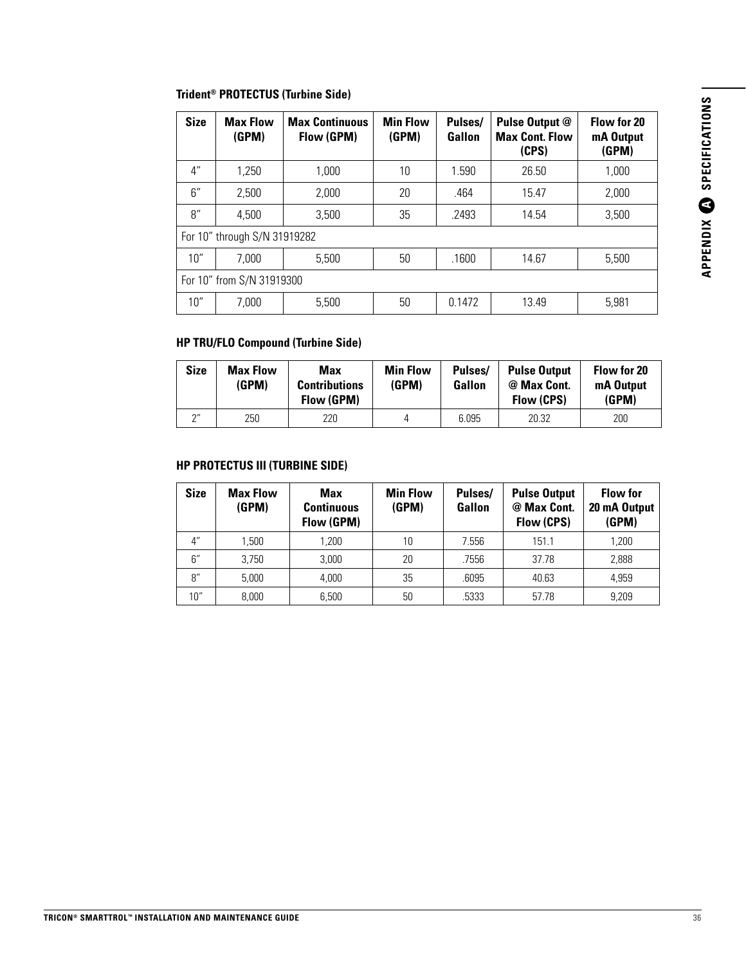#### **Trident® PROTECTUS (Turbine Side)**

| <b>Size</b>               | <b>Max Flow</b><br>(GPM)     | <b>Max Continuous</b><br>Flow (GPM) | <b>Min Flow</b><br>(GPM) | Pulses/<br>Gallon | Pulse Output @<br><b>Max Cont. Flow</b><br>(CPS) | Flow for 20<br>mA Output<br>(GPM) |
|---------------------------|------------------------------|-------------------------------------|--------------------------|-------------------|--------------------------------------------------|-----------------------------------|
| $4^{\prime\prime}$        | 1.250                        | 1.000                               | 10                       | 1.590             | 26.50                                            | 1,000                             |
| 6''                       | 2.500                        | 2,000                               | 20                       | .464              | 15.47                                            | 2,000                             |
| 8''                       | 4.500                        | 3,500                               | 35                       | .2493             | 14.54                                            | 3,500                             |
|                           | For 10" through S/N 31919282 |                                     |                          |                   |                                                  |                                   |
| 10"                       | 7,000                        | 5.500                               | 50                       | .1600             | 14.67                                            | 5.500                             |
| For 10" from S/N 31919300 |                              |                                     |                          |                   |                                                  |                                   |
| 10"                       | 7,000                        | 5,500                               | 50                       | 0.1472            | 13.49                                            | 5.981                             |

#### **HP TRU/FLO Compound (Turbine Side)**

| <b>Size</b> | <b>Max Flow</b><br>(GPM) | Max<br><b>Contributions</b><br>Flow (GPM) | <b>Min Flow</b><br>(GPM) | Pulses/<br>Gallon | <b>Pulse Output</b><br>@ Max Cont.<br>Flow (CPS) | Flow for 20<br>mA Output<br>(GPM) |
|-------------|--------------------------|-------------------------------------------|--------------------------|-------------------|--------------------------------------------------|-----------------------------------|
| 2''         | 250                      | 220                                       |                          | 6.095             | 20.32                                            | 200                               |

#### **HP PROTECTUS III (TURBINE SIDE)**

| <b>Size</b>        | <b>Max Flow</b><br>(GPM) | Max<br><b>Continuous</b><br>Flow (GPM) | <b>Min Flow</b><br>(GPM) | Pulses/<br>Gallon | <b>Pulse Output</b><br>@ Max Cont.<br>Flow (CPS) | <b>Flow for</b><br>20 mA Output<br>(GPM) |
|--------------------|--------------------------|----------------------------------------|--------------------------|-------------------|--------------------------------------------------|------------------------------------------|
| $4^{\prime\prime}$ | 1.500                    | ,200                                   | 10                       | 7.556             | 151.1                                            | 1,200                                    |
| 6''                | 3.750                    | 3,000                                  | 20                       | .7556             | 37.78                                            | 2,888                                    |
| 8''                | 5,000                    | 4,000                                  | 35                       | .6095             | 40.63                                            | 4,959                                    |
| 10"                | 8.000                    | 6,500                                  | 50                       | .5333             | 57.78                                            | 9,209                                    |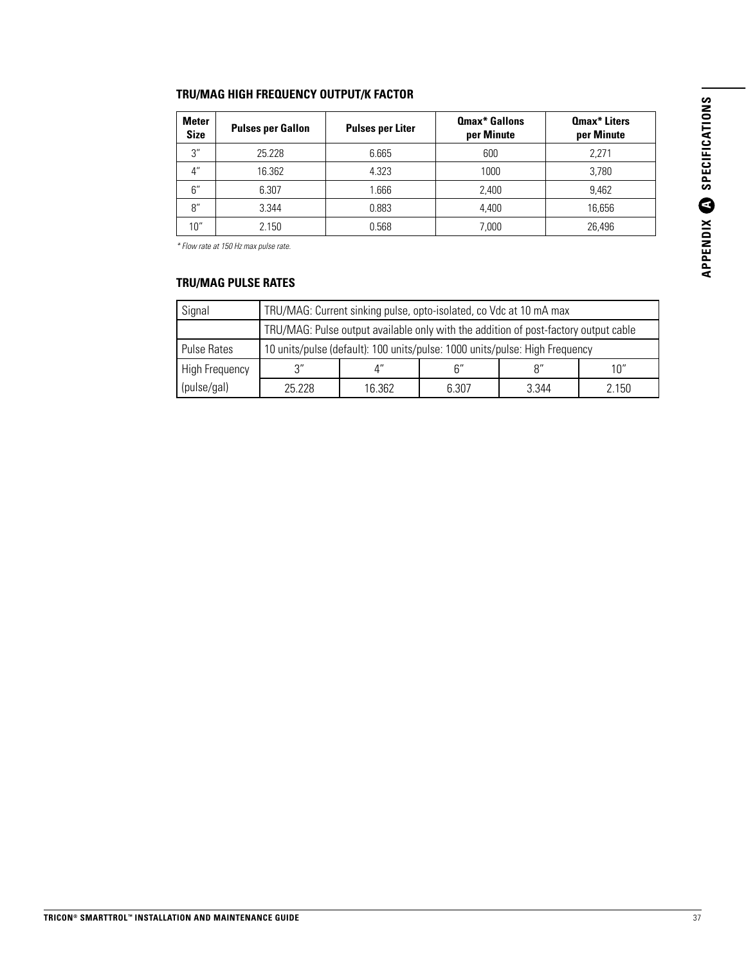## APPENDIX C SPECIFICATIONS **A SPECIFICATIONSAPPENDIX**

#### **TRU/MAG HIGH FREQUENCY OUTPUT/K FACTOR**

| <b>Meter</b><br><b>Size</b> | <b>Pulses per Gallon</b> | <b>Pulses per Liter</b> | <b>Qmax* Gallons</b><br>per Minute | <b>Qmax*</b> Liters<br>per Minute |
|-----------------------------|--------------------------|-------------------------|------------------------------------|-----------------------------------|
| 3"                          | 25.228                   | 6.665                   | 600                                | 2,271                             |
| $4^{\prime\prime}$          | 16.362                   | 4.323                   | 1000                               | 3,780                             |
| 6''                         | 6.307                    | .666                    | 2.400                              | 9.462                             |
| 8''                         | 3.344                    | 0.883                   | 4.400                              | 16.656                            |
| 10"                         | 2.150                    | 0.568                   | 7.000                              | 26,496                            |

*\* Flow rate at 150 Hz max pulse rate.*

#### **TRU/MAG PULSE RATES**

| Signal                |        | TRU/MAG: Current sinking pulse, opto-isolated, co Vdc at 10 mA max                  |                |       |       |  |
|-----------------------|--------|-------------------------------------------------------------------------------------|----------------|-------|-------|--|
|                       |        | TRU/MAG: Pulse output available only with the addition of post-factory output cable |                |       |       |  |
| <b>Pulse Rates</b>    |        | 10 units/pulse (default): 100 units/pulse: 1000 units/pulse: High Frequency         |                |       |       |  |
| <b>High Frequency</b> | ้ว"    |                                                                                     | $\mathsf{R}''$ | Q''   | 10"   |  |
| (pulse/gal)           | 25 228 | 16.362                                                                              | 6.307          | 3.344 | 2.150 |  |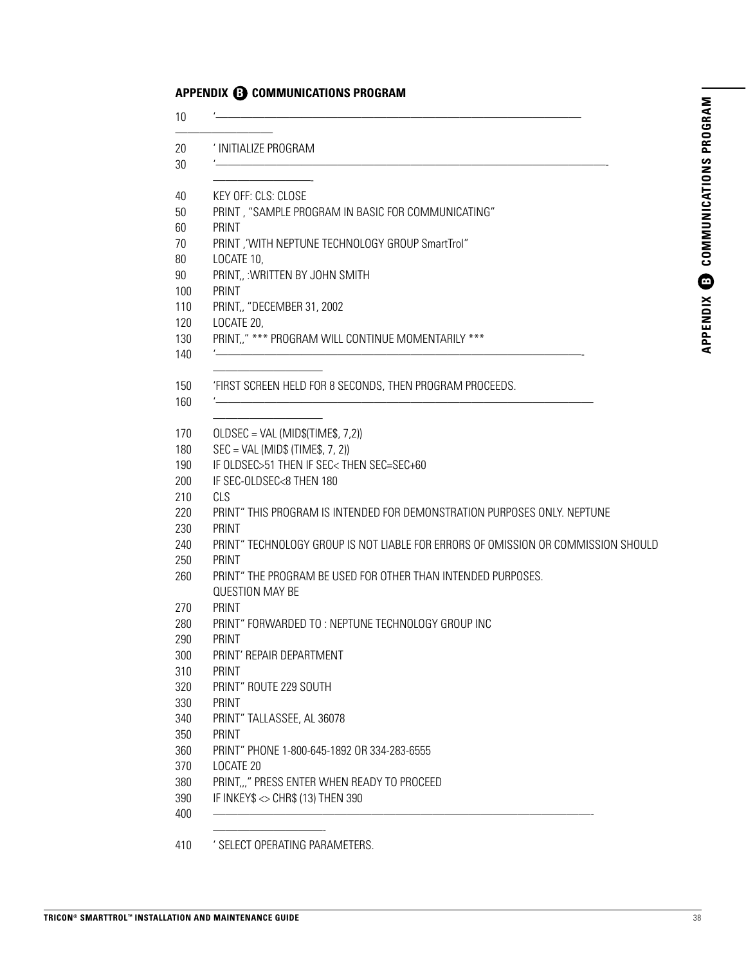#### **APPENDIX <b>B** COMMUNICATIONS PROGRAM

| ' INITIALIZE PROGRAM                                                                       |
|--------------------------------------------------------------------------------------------|
| KEY OFF: CLS: CLOSE                                                                        |
| PRINT, "SAMPLE PROGRAM IN BASIC FOR COMMUNICATING"<br>PRINT                                |
| PRINT, 'WITH NEPTUNE TECHNOLOGY GROUP SmartTrol"                                           |
| LOCATE 10,<br>PRINT, : WRITTEN BY JOHN SMITH                                               |
| PRINT<br>PRINT, "DECEMBER 31, 2002                                                         |
| LOCATE 20,<br>PRINT," *** PROGRAM WILL CONTINUE MOMENTARILY ***                            |
|                                                                                            |
| 'FIRST SCREEN HELD FOR 8 SECONDS, THEN PROGRAM PROCEEDS.                                   |
| $OLDSEC = VAL (MID$(TIME$, 7, 2))$                                                         |
| $SEC = VAL (MIDS (TIME$, 7, 2))$                                                           |
| IF OLDSEC>51 THEN IF SEC <then sec="SEC+60&lt;/td"></then>                                 |
| IF SEC-OLDSEC<8 THEN 180                                                                   |
| <b>CLS</b>                                                                                 |
| PRINT" THIS PROGRAM IS INTENDED FOR DEMONSTRATION PURPOSES ONLY. NEPTUNE<br>PRINT          |
| PRINT" TECHNOLOGY GROUP IS NOT LIABLE FOR ERRORS OF OMISSION OR COMMISSION SHOULD<br>PRINT |
| PRINT" THE PROGRAM BE USED FOR OTHER THAN INTENDED PURPOSES.<br><b>QUESTION MAY BE</b>     |
| PRINT                                                                                      |
| PRINT" FORWARDED TO: NEPTUNE TECHNOLOGY GROUP INC                                          |
| PRINT                                                                                      |
| PRINT' REPAIR DEPARTMENT                                                                   |
| PRINT                                                                                      |
| PRINT" ROUTE 229 SOUTH                                                                     |
| PRINT                                                                                      |
| PRINT" TALLASSEE, AL 36078                                                                 |
| PRINT                                                                                      |
| PRINT" PHONE 1-800-645-1892 OR 334-283-6555                                                |
| LOCATE 20                                                                                  |
| PRINT" PRESS ENTER WHEN READY TO PROCEED                                                   |
| IF INKEY\$ $\sim$ CHR\$ (13) THEN 390                                                      |

' SELECT OPERATING PARAMETERS.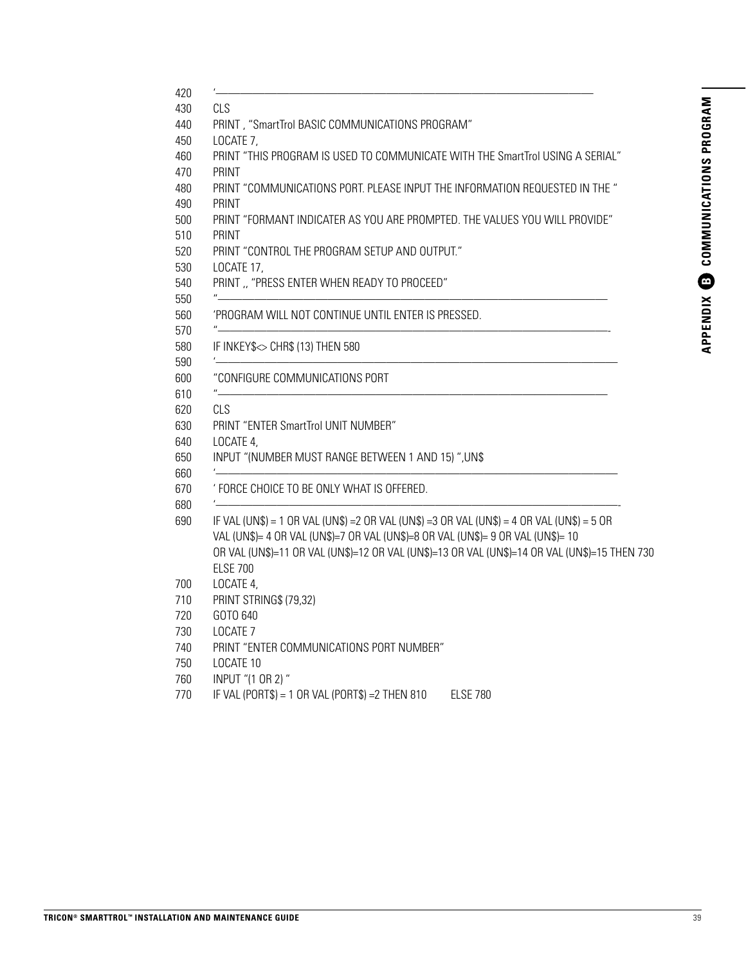| <b>CLS</b>                                                                                                                                                                                                                                                                                           |
|------------------------------------------------------------------------------------------------------------------------------------------------------------------------------------------------------------------------------------------------------------------------------------------------------|
| PRINT, "SmartTrol BASIC COMMUNICATIONS PROGRAM"                                                                                                                                                                                                                                                      |
| LOCATE 7,                                                                                                                                                                                                                                                                                            |
| PRINT "THIS PROGRAM IS USED TO COMMUNICATE WITH THE SmartTrol USING A SERIAL"                                                                                                                                                                                                                        |
| PRINT                                                                                                                                                                                                                                                                                                |
| PRINT "COMMUNICATIONS PORT. PLEASE INPUT THE INFORMATION REQUESTED IN THE "                                                                                                                                                                                                                          |
| PRINT                                                                                                                                                                                                                                                                                                |
| PRINT "FORMANT INDICATER AS YOU ARE PROMPTED. THE VALUES YOU WILL PROVIDE"                                                                                                                                                                                                                           |
| PRINT                                                                                                                                                                                                                                                                                                |
| PRINT "CONTROL THE PROGRAM SETUP AND OUTPUT."                                                                                                                                                                                                                                                        |
| LOCATE 17,                                                                                                                                                                                                                                                                                           |
| PRINT ,, "PRESS ENTER WHEN READY TO PROCEED"                                                                                                                                                                                                                                                         |
| 'PROGRAM WILL NOT CONTINUE UNTIL ENTER IS PRESSED.                                                                                                                                                                                                                                                   |
|                                                                                                                                                                                                                                                                                                      |
| IF INKEY\$<> CHR\$ (13) THEN 580                                                                                                                                                                                                                                                                     |
| "CONFIGURE COMMUNICATIONS PORT<br>$^{\prime\prime}$                                                                                                                                                                                                                                                  |
| CLS                                                                                                                                                                                                                                                                                                  |
| PRINT "ENTER SmartTrol UNIT NUMBER"                                                                                                                                                                                                                                                                  |
| LOCATE 4,                                                                                                                                                                                                                                                                                            |
| INPUT "(NUMBER MUST RANGE BETWEEN 1 AND 15)", UN\$                                                                                                                                                                                                                                                   |
| ' FORCE CHOICE TO BE ONLY WHAT IS OFFERED.                                                                                                                                                                                                                                                           |
| IF VAL (UN\$) = 1 OR VAL (UN\$) = 2 OR VAL (UN\$) = 3 OR VAL (UN\$) = 4 OR VAL (UN\$) = 5 OR<br>VAL (UN\$)= 4 OR VAL (UN\$)=7 OR VAL (UN\$)=8 OR VAL (UN\$)= 9 OR VAL (UN\$)= 10<br>OR VAL (UN\$)=11 OR VAL (UN\$)=12 OR VAL (UN\$)=13 OR VAL (UN\$)=14 OR VAL (UN\$)=15 THEN 730<br><b>ELSE 700</b> |
| LOCATE 4,                                                                                                                                                                                                                                                                                            |
| PRINT STRING\$ (79,32)                                                                                                                                                                                                                                                                               |
| GOTO 640                                                                                                                                                                                                                                                                                             |
| LOCATE <sub>7</sub>                                                                                                                                                                                                                                                                                  |
| PRINT "ENTER COMMUNICATIONS PORT NUMBER"                                                                                                                                                                                                                                                             |
| LOCATE 10                                                                                                                                                                                                                                                                                            |
| INPUT "(1 OR 2) "                                                                                                                                                                                                                                                                                    |
| IF VAL (PORT\$) = 1 OR VAL (PORT\$) = 2 THEN 810<br><b>ELSE 780</b>                                                                                                                                                                                                                                  |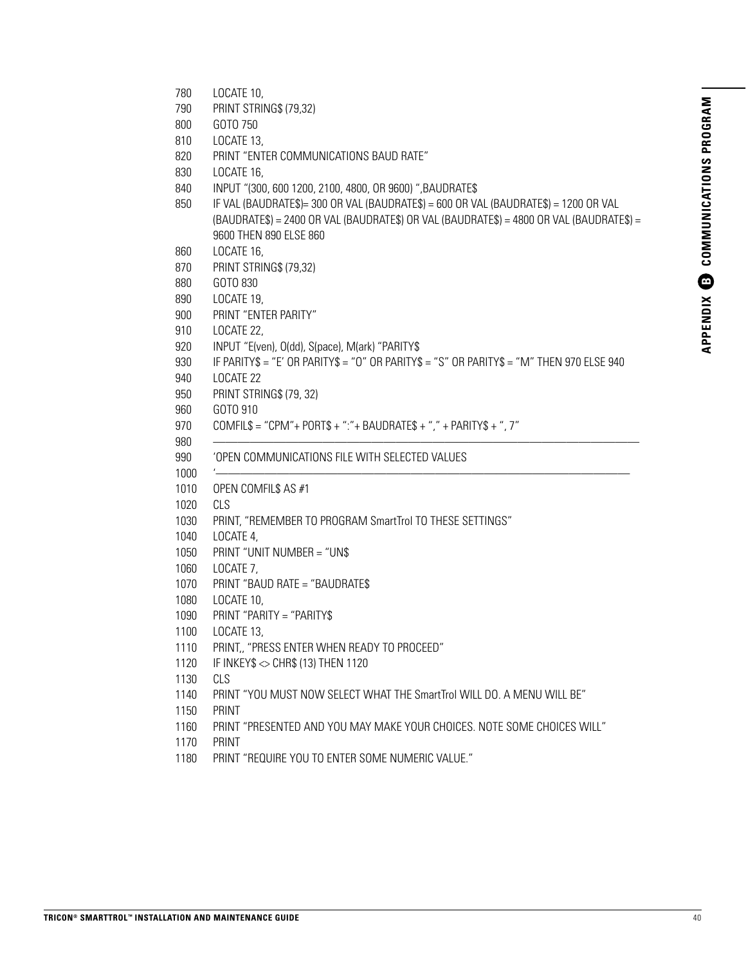- LOCATE 10,
- PRINT STRING\$ (79,32)
- GOTO 750
- LOCATE 13,
- PRINT "ENTER COMMUNICATIONS BAUD RATE"
- LOCATE 16,
- INPUT "(300, 600 1200, 2100, 4800, OR 9600) ",BAUDRATE\$
- IF VAL (BAUDRATE\$)= 300 OR VAL (BAUDRATE\$) = 600 OR VAL (BAUDRATE\$) = 1200 OR VAL (BAUDRATE\$) = 2400 OR VAL (BAUDRATE\$) OR VAL (BAUDRATE\$) = 4800 OR VAL (BAUDRATE\$) = 9600 THEN 890 ELSE 860
- LOCATE 16,
- PRINT STRING\$ (79,32)
- GOTO 830
- LOCATE 19,
- PRINT "ENTER PARITY"
- LOCATE 22,
- INPUT "E(ven), O(dd), S(pace), M(ark) "PARITY\$
- IF PARITY\$ = "E' OR PARITY\$ = "O" OR PARITY\$ = "S" OR PARITY\$ = "M" THEN 970 ELSE 940
- LOCATE 22
- PRINT STRING\$ (79, 32)
- GOTO 910
- COMFIL\$ = "CPM"+ PORT\$ + ":"+ BAUDRATE\$ + "," + PARITY\$ + ", 7"
- ———————————————————————————————————
- 'OPEN COMMUNICATIONS FILE WITH SELECTED VALUES
- '——————————————————————————————————
- OPEN COMFIL\$ AS #1
- CLS
- PRINT, "REMEMBER TO PROGRAM SmartTrol TO THESE SETTINGS"
- LOCATE 4,
- PRINT "UNIT NUMBER = "UN\$
- LOCATE 7,
- PRINT "BAUD RATE = "BAUDRATE\$
- LOCATE 10,
- PRINT "PARITY = "PARITY\$
- LOCATE 13,
- PRINT,, "PRESS ENTER WHEN READY TO PROCEED"
- 1120 IF INKEY\$  $\diamond$  CHR\$ (13) THEN 1120
- CLS
- PRINT "YOU MUST NOW SELECT WHAT THE SmartTrol WILL DO. A MENU WILL BE"
- PRINT
- PRINT "PRESENTED AND YOU MAY MAKE YOUR CHOICES. NOTE SOME CHOICES WILL"
- PRINT
- PRINT "REQUIRE YOU TO ENTER SOME NUMERIC VALUE."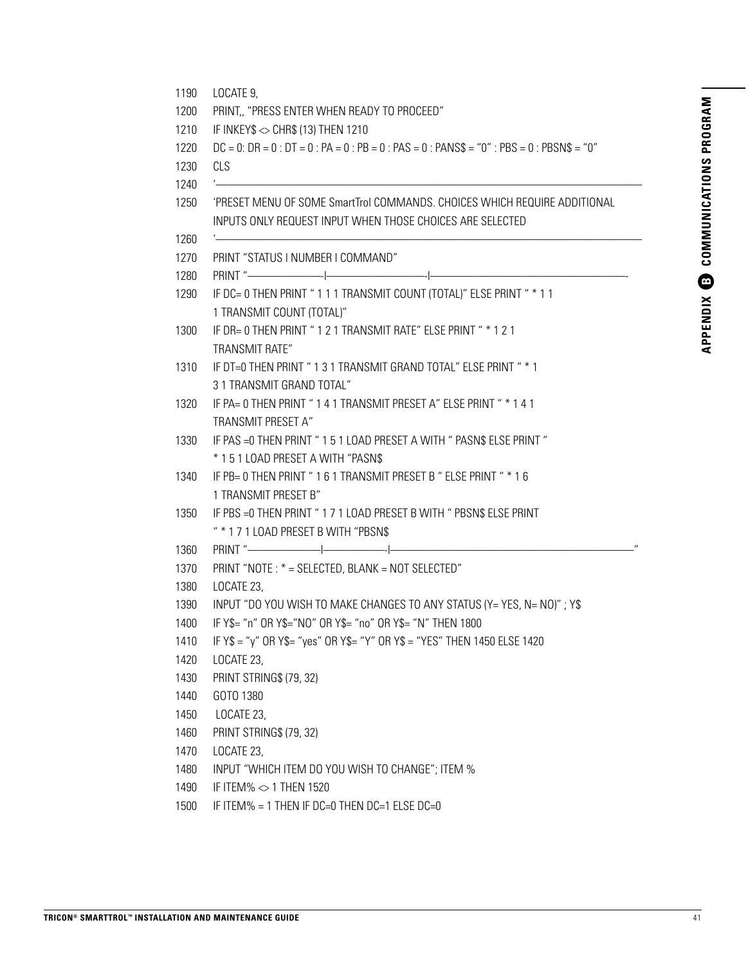| LOCATE 9,<br>PRINT, "PRESS ENTER WHEN READY TO PROCEED"                                                                                |
|----------------------------------------------------------------------------------------------------------------------------------------|
| IF INKEY\$ <> CHR\$ (13) THEN 1210                                                                                                     |
| $DC = 0$ : $DR = 0$ : $DT = 0$ : $PA = 0$ : $PB = 0$ : $PAS = 0$ : $PANS\$ = "0" : $PBS = 0$ : $PBSN\$ = "0"                           |
| CLS                                                                                                                                    |
|                                                                                                                                        |
| 'PRESET MENU OF SOME SmartTrol COMMANDS. CHOICES WHICH REQUIRE ADDITIONAL<br>INPUTS ONLY REQUEST INPUT WHEN THOSE CHOICES ARE SELECTED |
| PRINT "STATUS I NUMBER I COMMAND"                                                                                                      |
|                                                                                                                                        |
| IF DC= 0 THEN PRINT "111 TRANSMIT COUNT (TOTAL)" ELSE PRINT " * 11                                                                     |
| 1 TRANSMIT COUNT (TOTAL)"                                                                                                              |
| IF DR= 0 THEN PRINT "121 TRANSMIT RATE" ELSE PRINT " * 121                                                                             |
| <b>TRANSMIT RATE"</b>                                                                                                                  |
| IF DT=0 THEN PRINT "131 TRANSMIT GRAND TOTAL" ELSE PRINT " * 1                                                                         |
| 31 TRANSMIT GRAND TOTAL"                                                                                                               |
| IF PA= 0 THEN PRINT "141 TRANSMIT PRESET A" ELSE PRINT " * 141                                                                         |
| TRANSMIT PRESET A"                                                                                                                     |
| IF PAS = 0 THEN PRINT "151 LOAD PRESET A WITH " PASN\$ ELSE PRINT "                                                                    |
| * 151 LOAD PRESET A WITH "PASN\$                                                                                                       |
| IF PB= 0 THEN PRINT "161 TRANSMIT PRESET B " ELSE PRINT " * 16                                                                         |
| 1 TRANSMIT PRESET B"                                                                                                                   |
| IF PBS = 0 THEN PRINT "171 LOAD PRESET B WITH " PBSN\$ ELSE PRINT                                                                      |
| " * 171 LOAD PRESET B WITH "PBSN\$                                                                                                     |
|                                                                                                                                        |
| PRINT "NOTE: * = SELECTED, BLANK = NOT SELECTED"                                                                                       |
| LOCATE 23,                                                                                                                             |
| INPUT "DO YOU WISH TO MAKE CHANGES TO ANY STATUS (Y= YES, N= NO)"; Y\$                                                                 |
| IF Y\$= "n" OR Y\$="NO" OR Y\$= "no" OR Y\$= "N" THEN 1800                                                                             |
| IF Y\$ = "y" OR Y\$= "yes" OR Y\$= "Y" OR Y\$ = "YES" THEN 1450 ELSE 1420                                                              |
| LOCATE 23,                                                                                                                             |
| PRINT STRING\$ (79, 32)                                                                                                                |
| GOTO 1380                                                                                                                              |
| LOCATE 23,                                                                                                                             |
| PRINT STRING\$ (79, 32)                                                                                                                |
| LOCATE 23,<br>INPUT "WHICH ITEM DO YOU WISH TO CHANGE"; ITEM %                                                                         |
| IF ITEM% <> 1 THEN 1520                                                                                                                |
| IF ITEM% = 1 THEN IF DC=0 THEN DC=1 ELSE DC=0                                                                                          |
|                                                                                                                                        |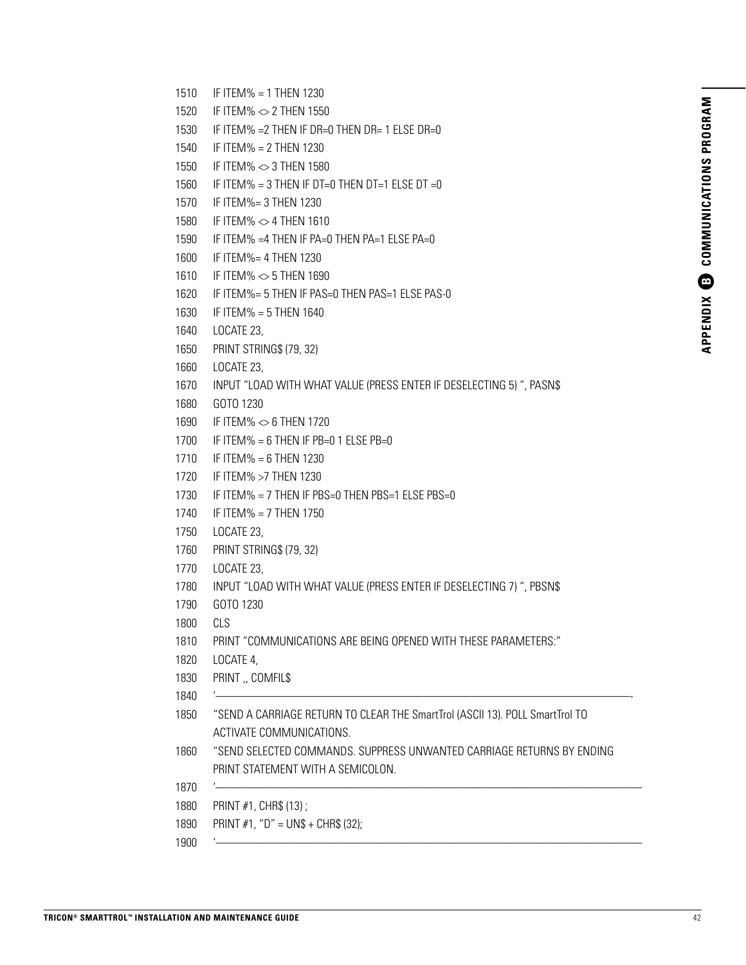- 1510 IF ITEM% = 1 THEN 1230
- 1520 IF ITEM% <> 2 THEN 1550
- 1530 IF ITEM% = 2 THEN IF DR=0 THEN DR= 1 ELSE DR=0
- 1540 IF ITEM% = 2 THEN 1230
- 1550 IF ITEM% <> 3 THEN 1580
- 1560 IF ITEM% = 3 THEN IF DT=0 THEN DT=1 ELSE DT =  $0$
- 1570 IF ITEM%= 3 THEN 1230
- 1580 IF ITEM% <> 4 THEN 1610
- 1590 IF ITEM% =4 THEN IF PA=0 THEN PA=1 ELSE PA=0
- 1600 IF ITEM%= 4 THEN 1230
- 1610 IF ITEM% <> 5 THEN 1690
- 1620 IF ITEM%= 5 THEN IF PAS=0 THEN PAS=1 ELSE PAS-0
- 1630 IF ITEM% = 5 THEN 1640
- 1640 LOCATE 23,
- 1650 PRINT STRING\$ (79, 32)
- 1660 LOCATE 23,
- 1670 INPUT "LOAD WITH WHAT VALUE (PRESS ENTER IF DESELECTING 5) ", PASN\$
- 1680 GOTO 1230
- 1690 IF ITEM% <> 6 THEN 1720
- 1700 IF ITEM% = 6 THEN IF PB=0 1 ELSE PB=0
- 1710 IF ITEM% = 6 THEN 1230
- 1720 IF ITEM% >7 THEN 1230
- 1730 IF ITEM% = 7 THEN IF PBS=0 THEN PBS=1 ELSE PBS=0
- 1740 IF ITEM% = 7 THEN 1750
- 1750 LOCATE 23,
- 1760 PRINT STRING\$ (79, 32)
- 1770 LOCATE 23,
- 1780 INPUT "LOAD WITH WHAT VALUE (PRESS ENTER IF DESELECTING 7) ", PBSN\$
- 1790 GOTO 1230
- 1800 CLS
- 1810 PRINT "COMMUNICATIONS ARE BEING OPENED WITH THESE PARAMETERS:"
- 1820 LOCATE 4,
- 1830 PRINT ,, COMFIL\$
- 1840 '——————————————————————————————————-
- 1850 "SEND A CARRIAGE RETURN TO CLEAR THE SmartTrol (ASCII 13). POLL SmartTrol TO ACTIVATE COMMUNICATIONS.
- 1860 "SEND SELECTED COMMANDS. SUPPRESS UNWANTED CARRIAGE RETURNS BY ENDING PRINT STATEMENT WITH A SEMICOLON.
- 1870 '———————————————————————————————————
- 1880 PRINT #1, CHR\$ (13) ;
- 1890 PRINT #1, "D" = UN\$ + CHR\$ (32);
- 1900 '———————————————————————————————————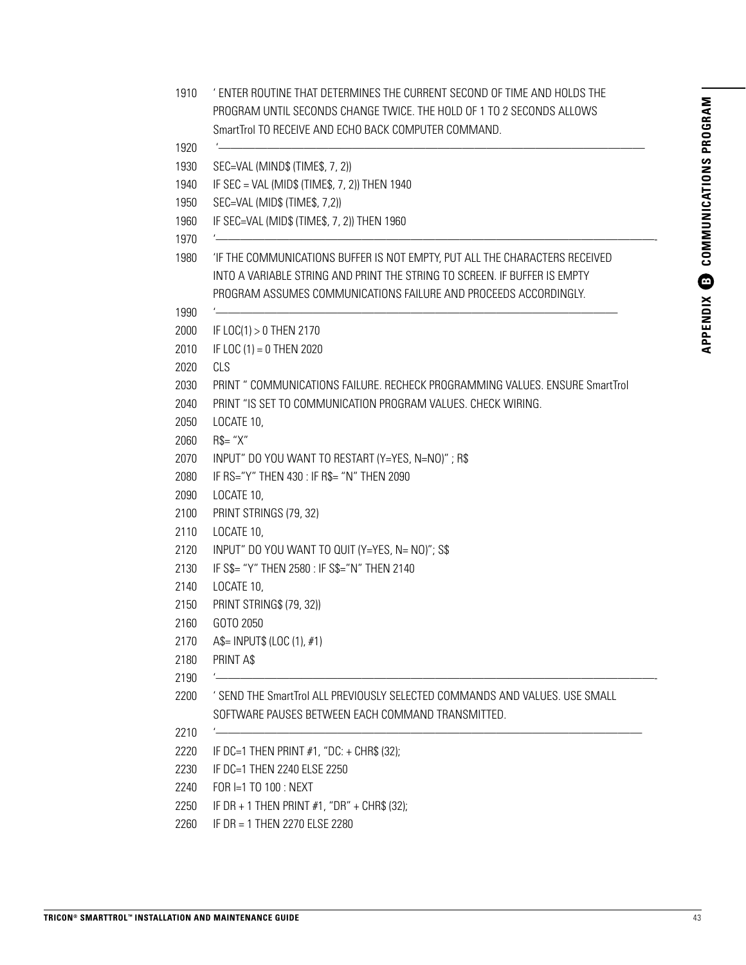- 1910 ' ENTER ROUTINE THAT DETERMINES THE CURRENT SECOND OF TIME AND HOLDS THE PROGRAM UNTIL SECONDS CHANGE TWICE. THE HOLD OF 1 TO 2 SECONDS ALLOWS SmartTrol TO RECEIVE AND ECHO BACK COMPUTER COMMAND.
- 1920 '———————————————————————————————————
- 1930 SEC=VAL (MIND\$ (TIME\$, 7, 2))
- 1940 IF SEC = VAL (MID\$ (TIME\$, 7, 2)) THEN 1940
- 1950 SEC=VAL (MID\$ (TIME\$, 7,2))
- 1960 IF SEC=VAL (MID\$ (TIME\$, 7, 2)) THEN 1960
- 1970 '————————————————————————————————————-
- 1980 'IF THE COMMUNICATIONS BUFFER IS NOT EMPTY, PUT ALL THE CHARACTERS RECEIVED INTO A VARIABLE STRING AND PRINT THE STRING TO SCREEN. IF BUFFER IS EMPTY PROGRAM ASSUMES COMMUNICATIONS FAILURE AND PROCEEDS ACCORDINGLY.
- 1990 '—————————————————————————————————
- 2000 IF LOC(1) > 0 THEN 2170
- 2010 IF LOC (1) = 0 THEN 2020
- 2020 CLS
- 2030 PRINT " COMMUNICATIONS FAILURE. RECHECK PROGRAMMING VALUES. ENSURE SmartTrol
- 2040 PRINT "IS SET TO COMMUNICATION PROGRAM VALUES. CHECK WIRING.
- 2050 LOCATE 10,
- 2060 R\$= "X"
- 2070 INPUT" DO YOU WANT TO RESTART (Y=YES, N=NO)" ; R\$
- 2080 IF RS="Y" THEN 430 : IF R\$= "N" THEN 2090
- 2090 LOCATE 10,
- 2100 PRINT STRINGS (79, 32)
- 2110 LOCATE 10,
- 2120 INPUT" DO YOU WANT TO QUIT (Y=YES, N= NO)"; S\$
- 2130 IF S\$= "Y" THEN 2580 : IF S\$="N" THEN 2140
- 2140 LOCATE 10,
- 2150 PRINT STRING\$ (79, 32))
- 2160 GOTO 2050
- 2170 A\$= INPUT\$ (LOC (1), #1)
- 2180 PRINT A\$
- 2190 '————————————————————————————————————-
- 2200 ' SEND THE SmartTrol ALL PREVIOUSLY SELECTED COMMANDS AND VALUES. USE SMALL SOFTWARE PAUSES BETWEEN EACH COMMAND TRANSMITTED.
- 2210 '———————————————————————————————————
- 2220 IF DC=1 THEN PRINT #1, "DC: + CHR\$ (32);
- 2230 IF DC=1 THEN 2240 ELSE 2250
- 2240 FOR I=1 TO 100 : NEXT
- 2250 IF DR + 1 THEN PRINT #1, "DR" + CHR\$ (32);
- 2260 IF DR = 1 THEN 2270 ELSE 2280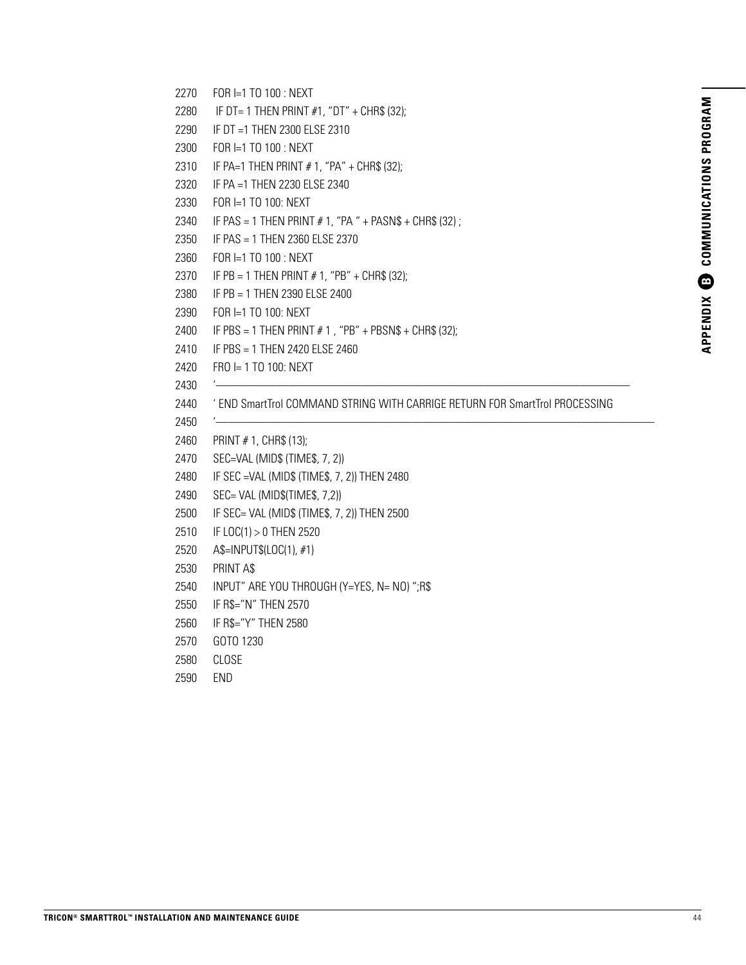- 2270 FOR I=1 TO 100 : NEXT
- 2280 IF DT= 1 THEN PRINT #1, "DT" + CHR\$ (32);
- 2290 IF DT =1 THEN 2300 ELSE 2310
- 2300 FOR I=1 TO 100 : NEXT
- 2310 IF PA=1 THEN PRINT # 1, "PA" + CHR\$ (32);
- 2320 IF PA =1 THEN 2230 ELSE 2340
- 2330 FOR I=1 TO 100: NEXT
- 2340 IF PAS = 1 THEN PRINT # 1, "PA " + PASN\$ + CHR\$ (32) ;
- 2350 IF PAS = 1 THEN 2360 ELSE 2370
- 2360 FOR I=1 TO 100 : NEXT
- 2370 IF PB = 1 THEN PRINT # 1, "PB" + CHR\$ (32);
- 2380 IF PB = 1 THEN 2390 ELSE 2400
- 2390 FOR I=1 TO 100: NEXT
- 2400 IF PBS = 1 THEN PRINT  $# 1$ , "PB" + PBSN\$ + CHR\$ (32);
- 2410 IF PBS = 1 THEN 2420 ELSE 2460
- 2420 FRO I= 1 TO 100: NEXT
- 2430 '——————————————————————————————————
- 2440 ' END SmartTrol COMMAND STRING WITH CARRIGE RETURN FOR SmartTrol PROCESSING
- 2450 '————————————————————————————————————
- 2460 PRINT # 1, CHR\$ (13);
- 2470 SEC=VAL (MID\$ (TIME\$, 7, 2))
- 2480 IF SEC =VAL (MID\$ (TIME\$, 7, 2)) THEN 2480
- 2490 SEC= VAL (MID\$(TIME\$, 7,2))
- 2500 IF SEC= VAL (MID\$ (TIME\$, 7, 2)) THEN 2500
- 2510 IF LOC(1) > 0 THEN 2520
- 2520 A\$=INPUT\$(LOC(1), #1)
- 2530 PRINT A\$
- 2540 INPUT" ARE YOU THROUGH (Y=YES, N= NO) ";R\$
- 2550 IF R\$="N" THEN 2570
- 2560 IF R\$="Y" THEN 2580
- 2570 GOTO 1230
- 2580 CLOSE
- 2590 END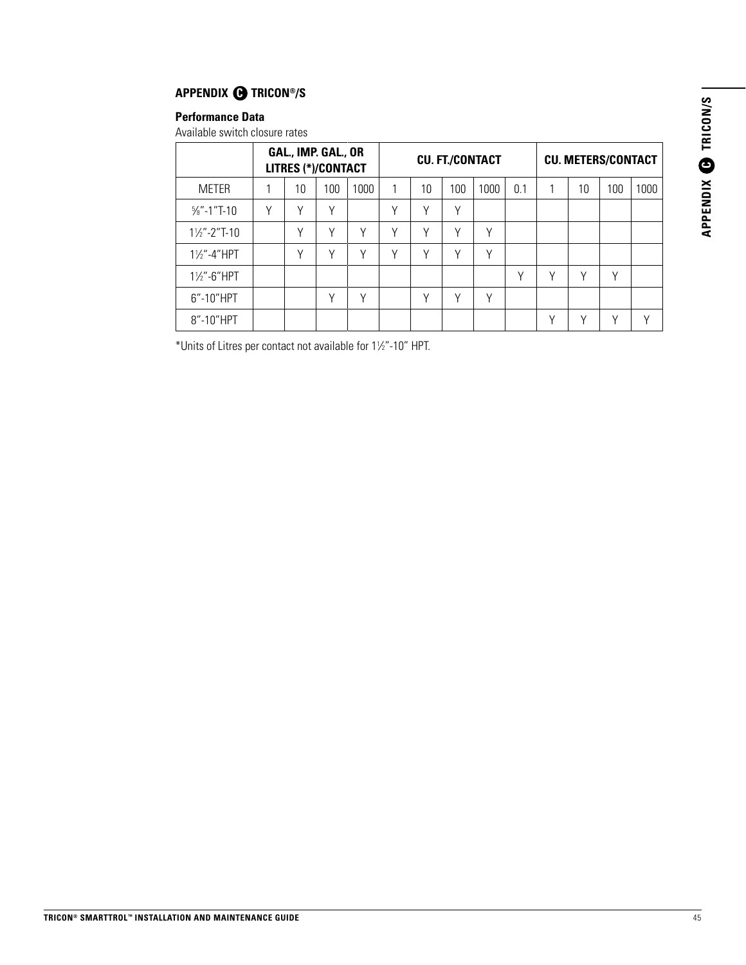#### **APPENDIX @ TRICON®/S**

#### **Performance Data**

Available switch closure rates

|                         |   |              | GAL., IMP. GAL., OR<br><b>LITRES (*)/CONTACT</b> |        |   |        | <b>CU. FT./CONTACT</b> |      |        |   | <b>CU. METERS/CONTACT</b> |     |              |
|-------------------------|---|--------------|--------------------------------------------------|--------|---|--------|------------------------|------|--------|---|---------------------------|-----|--------------|
| <b>METER</b>            |   | 10           | 100                                              | 1000   |   | 10     | 100                    | 1000 | 0.1    |   | 10                        | 100 | 1000         |
| $\frac{5}{8}$ "-1"T-10  | Υ | v            | ν                                                |        | v | Υ      | ٧                      |      |        |   |                           |     |              |
| $1\frac{1}{2}$ "-2"T-10 |   | $\checkmark$ | ν                                                | V      | ν | ν      | v                      | Υ    |        |   |                           |     |              |
| $1\frac{1}{2}$ -4"HPT   |   | ν            | ν                                                | ٧      |   | v      | v                      | ٧    |        |   |                           |     |              |
| $1\frac{1}{2}$ -6"HPT   |   |              |                                                  |        |   |        |                        |      | $\vee$ | ν | ν                         | ν   |              |
| $6"$ -10"HPT            |   |              | v                                                | $\vee$ |   | $\vee$ | v                      | ٧    |        |   |                           |     |              |
| 8"-10"HPT               |   |              |                                                  |        |   |        |                        |      |        |   | v                         | ν   | $\checkmark$ |

\*Units of Litres per contact not available for 11 ⁄2"-10" HPT.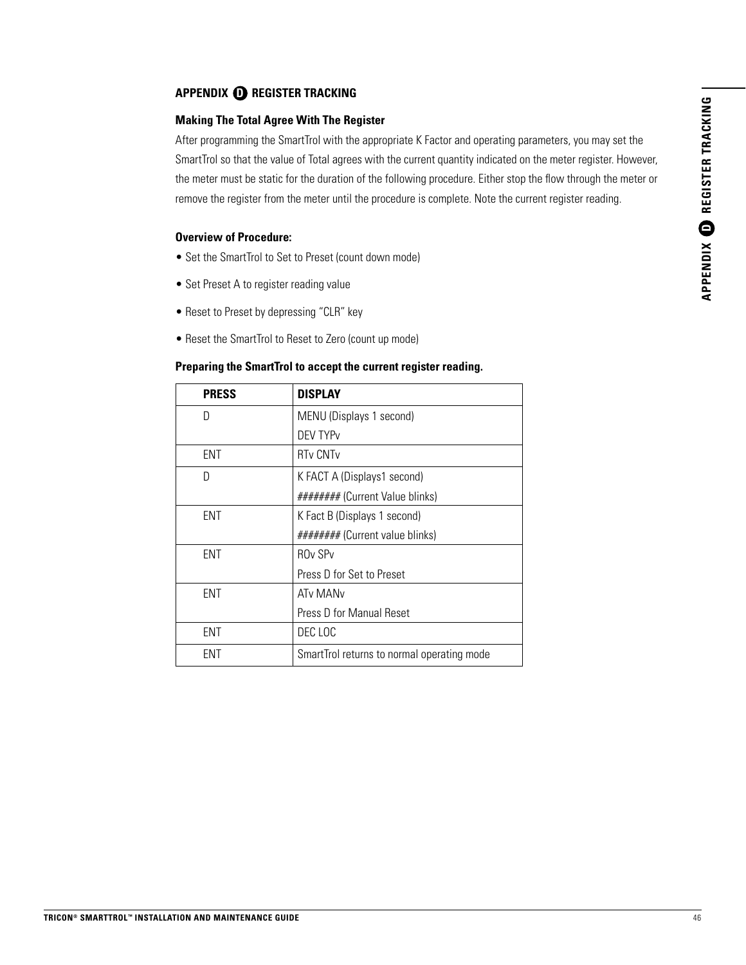#### **APPENDIX D REGISTER TRACKING**

#### **Making The Total Agree With The Register**

After programming the SmartTrol with the appropriate K Factor and operating parameters, you may set the SmartTrol so that the value of Total agrees with the current quantity indicated on the meter register. However, the meter must be static for the duration of the following procedure. Either stop the flow through the meter or remove the register from the meter until the procedure is complete. Note the current register reading.

#### **Overview of Procedure:**

- Set the SmartTrol to Set to Preset (count down mode)
- Set Preset A to register reading value
- Reset to Preset by depressing "CLR" key
- Reset the SmartTrol to Reset to Zero (count up mode)

#### **Preparing the SmartTrol to accept the current register reading.**

| <b>PRESS</b> | <b>DISPLAY</b>                             |  |  |
|--------------|--------------------------------------------|--|--|
| D            | MENU (Displays 1 second)                   |  |  |
|              | DFV TYP <sub>V</sub>                       |  |  |
| ENT          | <b>RTv CNTv</b>                            |  |  |
| D            | K FACT A (Displays1 second)                |  |  |
|              | ######## (Current Value blinks)            |  |  |
| <b>ENT</b>   | K Fact B (Displays 1 second)               |  |  |
|              | ######## (Current value blinks)            |  |  |
| ENT          | <b>ROv SPv</b>                             |  |  |
|              | Press D for Set to Preset                  |  |  |
| ENT          | AT <sub>v</sub> MAN <sub>v</sub>           |  |  |
|              | Press D for Manual Reset                   |  |  |
| ENT          | DEC LOC                                    |  |  |
| ENT          | SmartTrol returns to normal operating mode |  |  |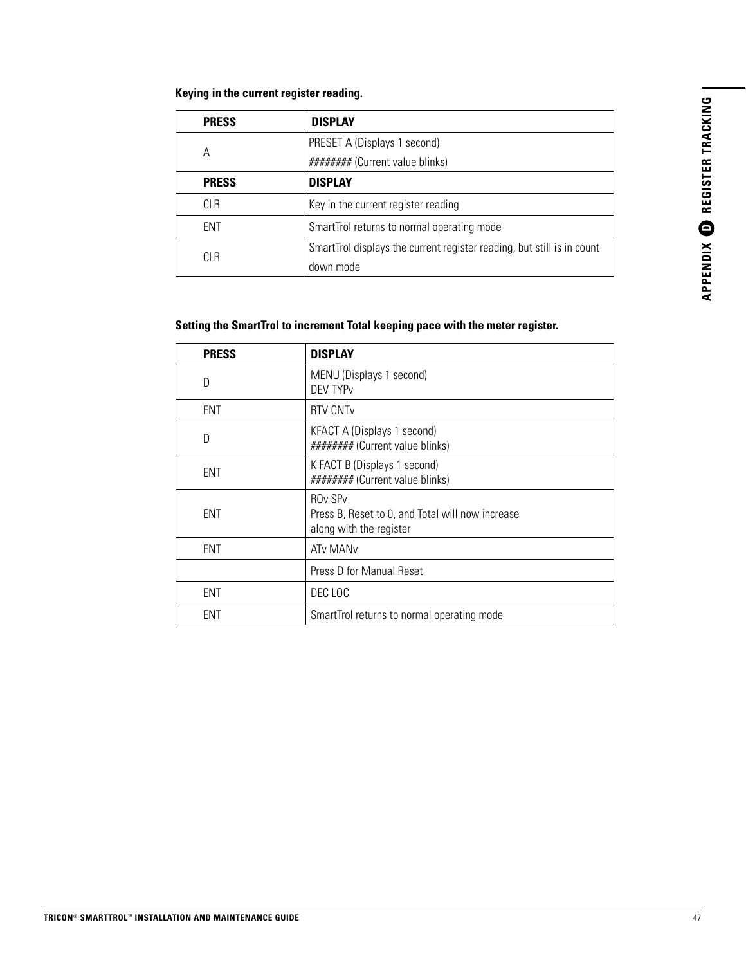#### **Keying in the current register reading.**

| <b>PRESS</b> | <b>DISPLAY</b>                                                         |  |  |
|--------------|------------------------------------------------------------------------|--|--|
|              | PRESET A (Displays 1 second)                                           |  |  |
| А            | ######## (Current value blinks)                                        |  |  |
| <b>PRESS</b> | <b>DISPLAY</b>                                                         |  |  |
| CLR          | Key in the current register reading                                    |  |  |
| <b>ENT</b>   | SmartTrol returns to normal operating mode                             |  |  |
| CLR          | SmartTrol displays the current register reading, but still is in count |  |  |
|              | down mode                                                              |  |  |

#### **Setting the SmartTrol to increment Total keeping pace with the meter register.**

| <b>PRESS</b> | <b>DISPLAY</b>                                                                                                       |
|--------------|----------------------------------------------------------------------------------------------------------------------|
| D            | MENU (Displays 1 second)<br><b>DEV TYPV</b>                                                                          |
| ENT          | <b>RTV CNT<sub>v</sub></b>                                                                                           |
| D            | KFACT A (Displays 1 second)<br>######## (Current value blinks)                                                       |
| <b>ENT</b>   | K FACT B (Displays 1 second)<br>######## (Current value blinks)                                                      |
| ENT          | <b>RO<sub>v</sub></b> SP <sub>v</sub><br>Press B, Reset to 0, and Total will now increase<br>along with the register |
| <b>ENT</b>   | ATv MAN <sub>v</sub>                                                                                                 |
|              | Press D for Manual Reset                                                                                             |
| ENT          | DEC LOC                                                                                                              |
| ent          | SmartTrol returns to normal operating mode                                                                           |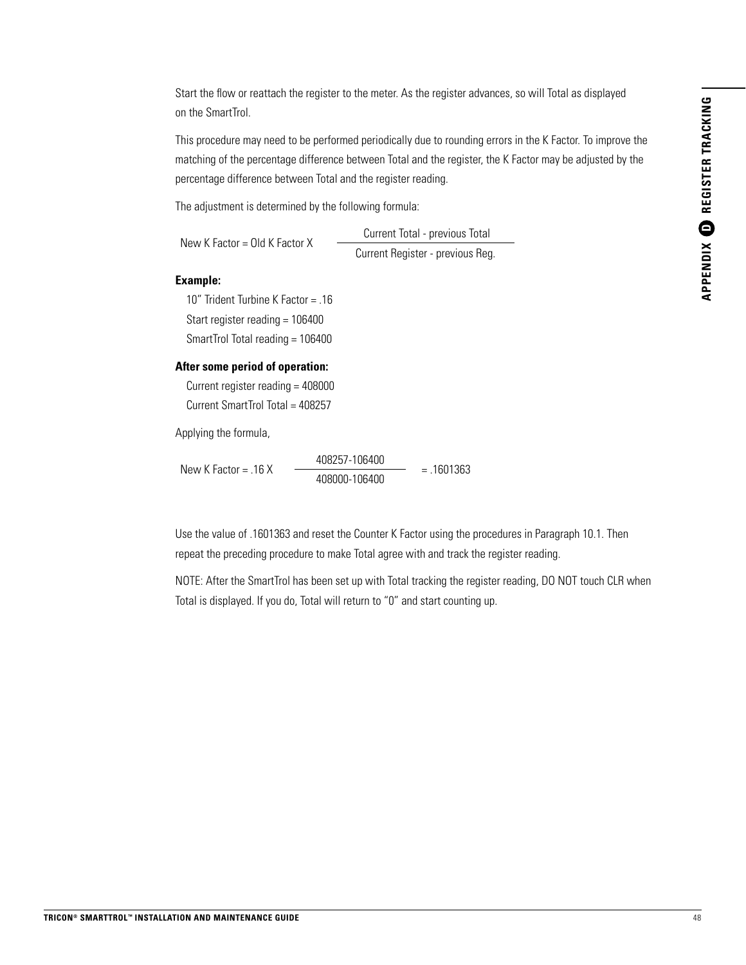Start the flow or reattach the register to the meter. As the register advances, so will Total as displayed on the SmartTrol.

This procedure may need to be performed periodically due to rounding errors in the K Factor. To improve the matching of the percentage difference between Total and the register, the K Factor may be adjusted by the percentage difference between Total and the register reading.

The adjustment is determined by the following formula:

New K Factor = Old K Factor X Current Total - previous Total Current Register - previous Reg.

#### **Example:**

10" Trident Turbine K Factor = .16 Start register reading = 106400 SmartTrol Total reading = 106400

#### **After some period of operation:**

Current register reading = 408000 Current SmartTrol Total = 408257

Applying the formula,

New K Factor = .16 X 408257-106400  $= .1601363$ 408000-106400

Use the value of .1601363 and reset the Counter K Factor using the procedures in Paragraph 10.1. Then repeat the preceding procedure to make Total agree with and track the register reading.

NOTE: After the SmartTrol has been set up with Total tracking the register reading, DO NOT touch CLR when Total is displayed. If you do, Total will return to "0" and start counting up.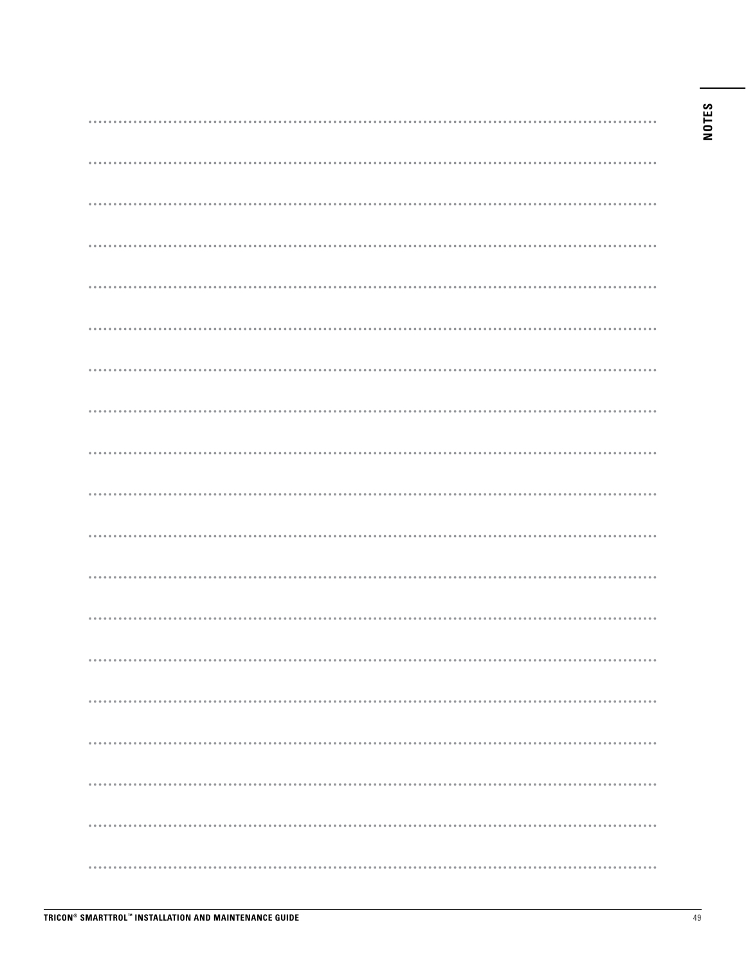### **NOTES**